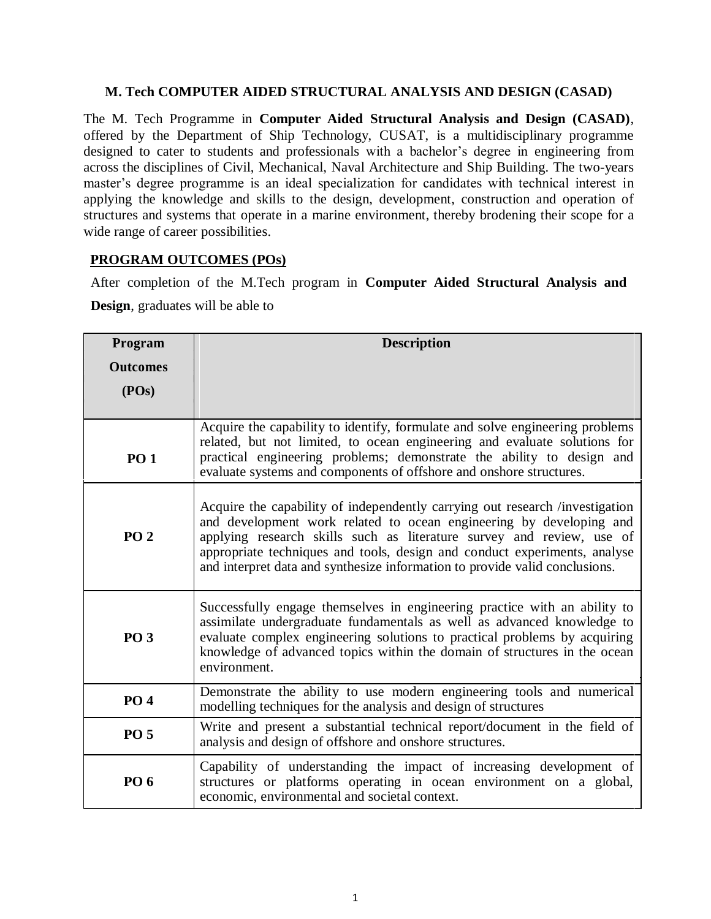# **M. Tech COMPUTER AIDED STRUCTURAL ANALYSIS AND DESIGN (CASAD)**

The M. Tech Programme in **Computer Aided Structural Analysis and Design (CASAD)**, offered by the Department of Ship Technology, CUSAT, is a multidisciplinary programme designed to cater to students and professionals with a bachelor's degree in engineering from across the disciplines of Civil, Mechanical, Naval Architecture and Ship Building. The two-years master's degree programme is an ideal specialization for candidates with technical interest in applying the knowledge and skills to the design, development, construction and operation of structures and systems that operate in a marine environment, thereby brodening their scope for a wide range of career possibilities.

# **PROGRAM OUTCOMES (POs)**

After completion of the M.Tech program in **Computer Aided Structural Analysis and Design**, graduates will be able to

| Program         | <b>Description</b>                                                                                                                                                                                                                                                                                                                                                                       |  |  |  |  |  |
|-----------------|------------------------------------------------------------------------------------------------------------------------------------------------------------------------------------------------------------------------------------------------------------------------------------------------------------------------------------------------------------------------------------------|--|--|--|--|--|
| <b>Outcomes</b> |                                                                                                                                                                                                                                                                                                                                                                                          |  |  |  |  |  |
| (POs)           |                                                                                                                                                                                                                                                                                                                                                                                          |  |  |  |  |  |
|                 |                                                                                                                                                                                                                                                                                                                                                                                          |  |  |  |  |  |
| <b>PO 1</b>     | Acquire the capability to identify, formulate and solve engineering problems<br>related, but not limited, to ocean engineering and evaluate solutions for<br>practical engineering problems; demonstrate the ability to design and<br>evaluate systems and components of offshore and onshore structures.                                                                                |  |  |  |  |  |
| <b>PO 2</b>     | Acquire the capability of independently carrying out research /investigation<br>and development work related to ocean engineering by developing and<br>applying research skills such as literature survey and review, use of<br>appropriate techniques and tools, design and conduct experiments, analyse<br>and interpret data and synthesize information to provide valid conclusions. |  |  |  |  |  |
| <b>PO 3</b>     | Successfully engage themselves in engineering practice with an ability to<br>assimilate undergraduate fundamentals as well as advanced knowledge to<br>evaluate complex engineering solutions to practical problems by acquiring<br>knowledge of advanced topics within the domain of structures in the ocean<br>environment.                                                            |  |  |  |  |  |
| <b>PO4</b>      | Demonstrate the ability to use modern engineering tools and numerical<br>modelling techniques for the analysis and design of structures                                                                                                                                                                                                                                                  |  |  |  |  |  |
| <b>PO 5</b>     | Write and present a substantial technical report/document in the field of<br>analysis and design of offshore and onshore structures.                                                                                                                                                                                                                                                     |  |  |  |  |  |
| <b>PO 6</b>     | Capability of understanding the impact of increasing development of<br>structures or platforms operating in ocean environment on a global,<br>economic, environmental and societal context.                                                                                                                                                                                              |  |  |  |  |  |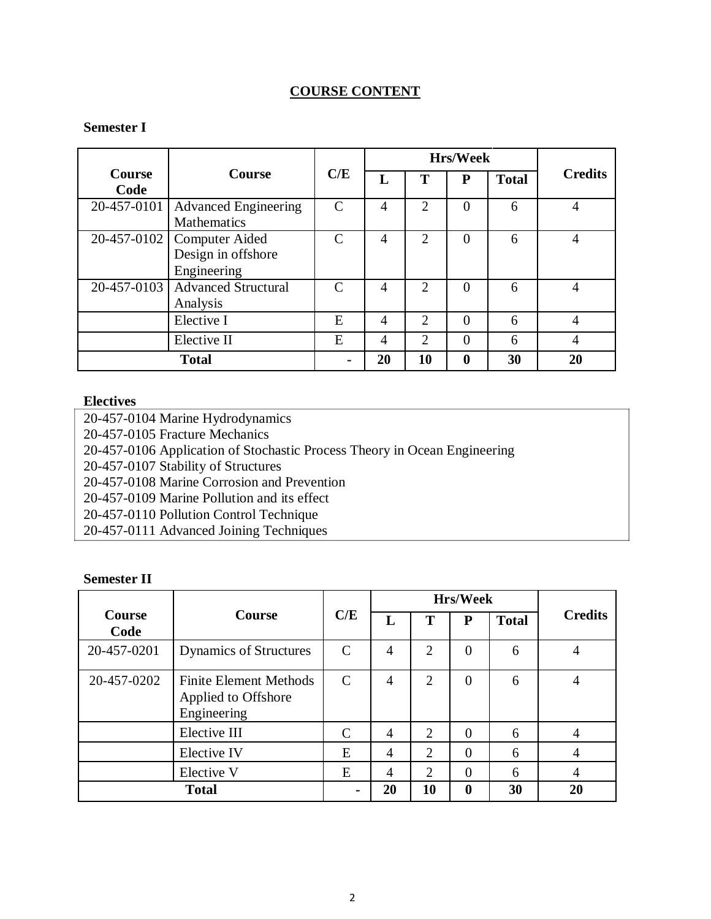# **COURSE CONTENT**

# **Semester I**

|                       |                                                                   |               |                |                | <b>Hrs/Week</b> |              |                |
|-----------------------|-------------------------------------------------------------------|---------------|----------------|----------------|-----------------|--------------|----------------|
| <b>Course</b><br>Code | Course                                                            | C/E           | L              | т              | P               | <b>Total</b> | <b>Credits</b> |
| 20-457-0101           | <b>Advanced Engineering</b><br><b>Mathematics</b>                 | C             | 4              | $\overline{2}$ | 0               | 6            | 4              |
|                       | 20-457-0102   Computer Aided<br>Design in offshore<br>Engineering | C             | 4              | $\overline{2}$ | $\overline{0}$  | 6            | 4              |
|                       | 20-457-0103   Advanced Structural<br>Analysis                     | $\mathcal{C}$ | 4              | $\overline{c}$ | $\theta$        | 6            |                |
|                       | Elective I                                                        | E             | $\overline{4}$ | $\overline{2}$ | $\theta$        | 6            | 4              |
|                       | Elective II                                                       | E             | $\overline{4}$ | $\overline{2}$ | $\theta$        | 6            |                |
|                       | <b>Total</b>                                                      |               | 20             | 10             | 0               | 30           | 20             |

#### **Electives**

20-457-0104 Marine Hydrodynamics 20-457-0105 Fracture Mechanics 20-457-0106 Application of Stochastic Process Theory in Ocean Engineering 20-457-0107 Stability of Structures 20-457-0108 Marine Corrosion and Prevention 20-457-0109 Marine Pollution and its effect 20-457-0110 Pollution Control Technique 20-457-0111 Advanced Joining Techniques

### **Semester II**

|                       |                                                                     |                             |                |                             | <b>Hrs/Week</b>  |              |                |
|-----------------------|---------------------------------------------------------------------|-----------------------------|----------------|-----------------------------|------------------|--------------|----------------|
| <b>Course</b><br>Code | <b>Course</b>                                                       | C/E                         | L              |                             | P                | <b>Total</b> | <b>Credits</b> |
| 20-457-0201           | <b>Dynamics of Structures</b>                                       | $\mathcal{C}$               | 4              | $\overline{2}$              | $\theta$         | 6            |                |
| 20-457-0202           | <b>Finite Element Methods</b><br>Applied to Offshore<br>Engineering | $\mathcal{C}_{\mathcal{C}}$ | $\overline{4}$ | $\overline{2}$              | $\overline{0}$   | 6            |                |
|                       | Elective III                                                        | $\mathcal{C}_{\mathcal{C}}$ | 4              | $\overline{2}$              | $\overline{0}$   | 6            |                |
|                       | Elective IV                                                         | E                           | 4              | $\overline{2}$              | $\overline{0}$   | 6            |                |
|                       | Elective V                                                          | E                           | 4              | $\mathcal{D}_{\mathcal{L}}$ | $\theta$         | 6            | 4              |
|                       | <b>Total</b>                                                        |                             | 20             | 10                          | $\boldsymbol{0}$ | 30           | 20             |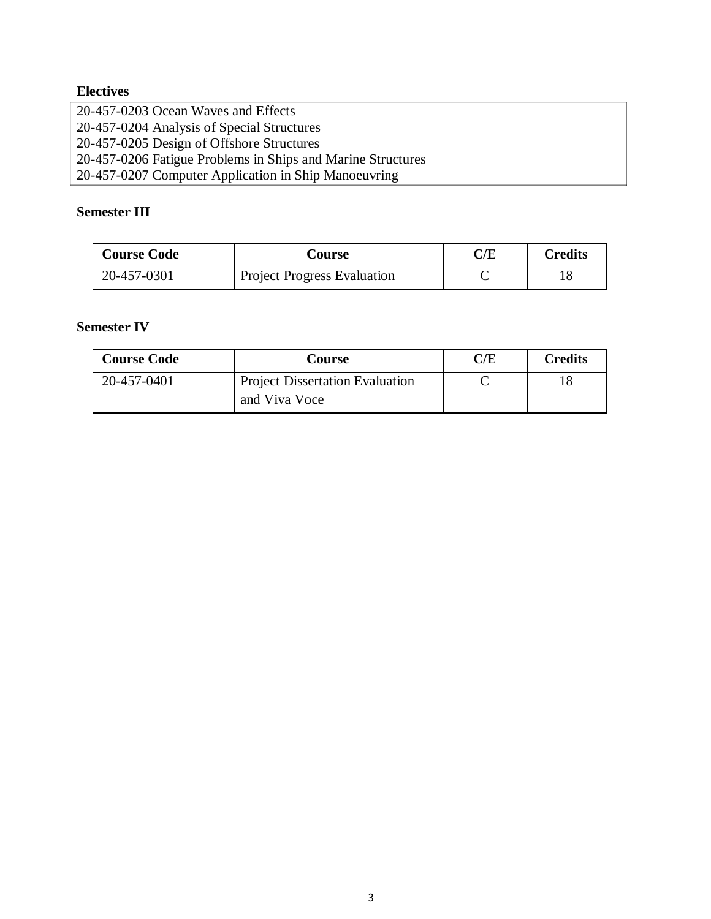# **Electives**

20-457-0203 Ocean Waves and Effects 20-457-0204 Analysis of Special Structures 20-457-0205 Design of Offshore Structures 20-457-0206 Fatigue Problems in Ships and Marine Structures 20-457-0207 Computer Application in Ship Manoeuvring

# **Semester III**

| <b>Course Code</b> | Course                             | C/E | Credits |
|--------------------|------------------------------------|-----|---------|
| 20-457-0301        | <b>Project Progress Evaluation</b> |     |         |

# **Semester IV**

| <b>Course Code</b> | Course                                 | C/E | <b>Credits</b> |
|--------------------|----------------------------------------|-----|----------------|
| 20-457-0401        | <b>Project Dissertation Evaluation</b> |     |                |
|                    | and Viva Voce                          |     |                |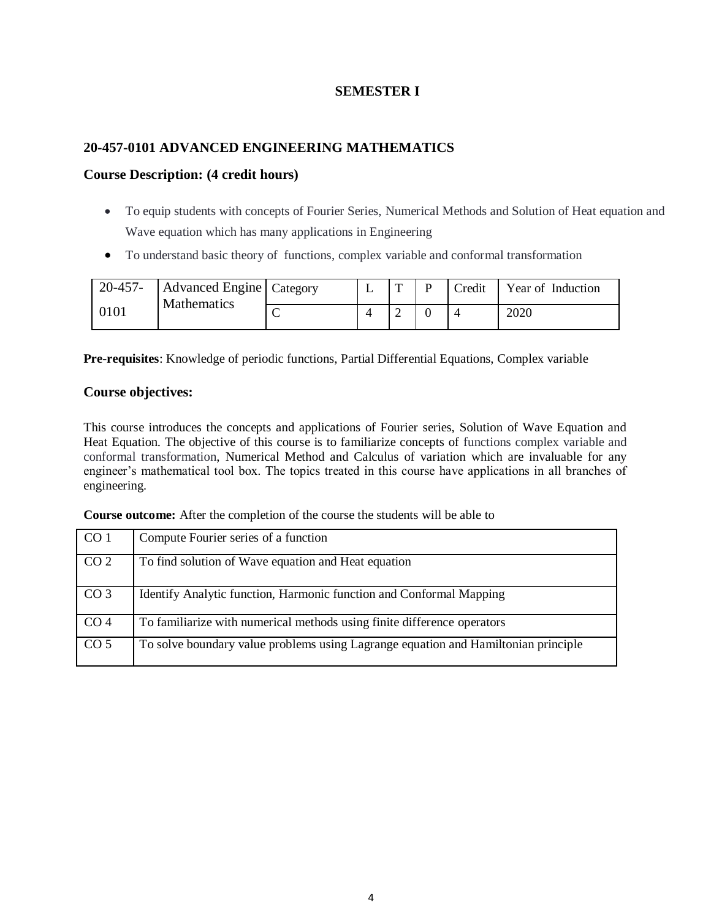# **SEMESTER I**

# **20-457-0101 ADVANCED ENGINEERING MATHEMATICS**

### **Course Description: (4 credit hours)**

- To equip students with concepts of Fourier Series, Numerical Methods and Solution of Heat equation and Wave equation which has many applications in Engineering
- To understand basic theory of functions, complex variable and conformal transformation

| 20-457- | Advanced Engine   Category<br><b>Mathematics</b> |  | $\mathbf{r}$ | Credit | Year of Induction |
|---------|--------------------------------------------------|--|--------------|--------|-------------------|
| 0101    |                                                  |  | ∽            |        | 2020              |

**Pre-requisites**: Knowledge of periodic functions, Partial Differential Equations, Complex variable

# **Course objectives:**

This course introduces the concepts and applications of Fourier series, Solution of Wave Equation and Heat Equation. The objective of this course is to familiarize concepts of functions complex variable and conformal transformation, Numerical Method and Calculus of variation which are invaluable for any engineer's mathematical tool box. The topics treated in this course have applications in all branches of engineering.

**Course outcome:** After the completion of the course the students will be able to

| CO <sub>1</sub> | Compute Fourier series of a function                                               |
|-----------------|------------------------------------------------------------------------------------|
| CO <sub>2</sub> | To find solution of Wave equation and Heat equation                                |
| CO <sub>3</sub> | Identify Analytic function, Harmonic function and Conformal Mapping                |
| CO <sub>4</sub> | To familiarize with numerical methods using finite difference operators            |
| CO <sub>5</sub> | To solve boundary value problems using Lagrange equation and Hamiltonian principle |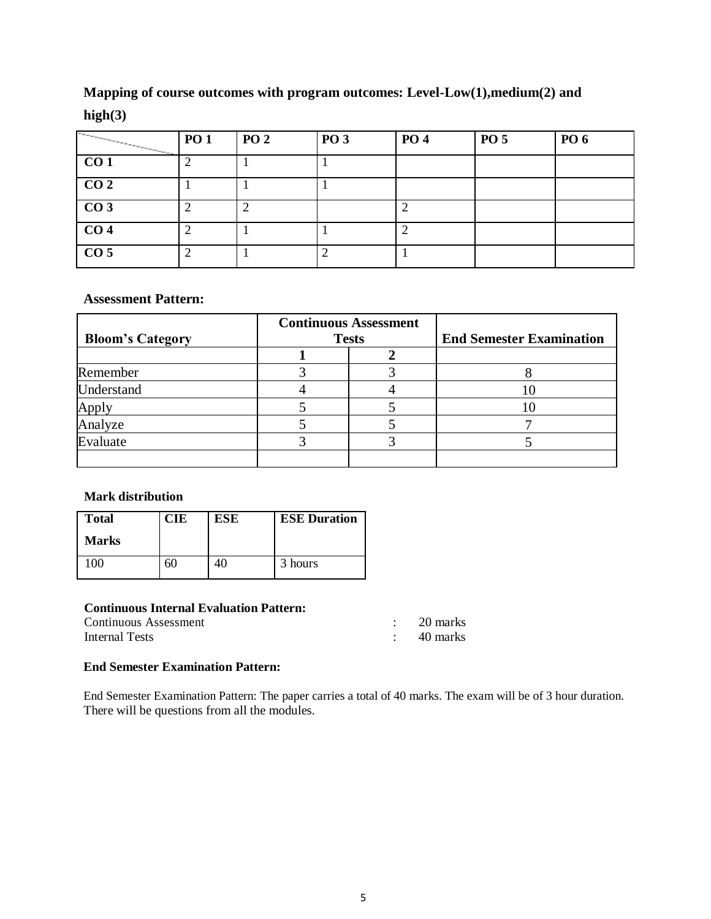# **Mapping of course outcomes with program outcomes: Level-Low(1),medium(2) and**

# **high(3)**

| $\overline{\phantom{1}}$ | <b>PO 1</b> | <b>PO 2</b> | <b>PO 3</b> | <b>PO 4</b> | <b>PO 5</b> | PO 6 |
|--------------------------|-------------|-------------|-------------|-------------|-------------|------|
| CO <sub>1</sub>          |             |             |             |             |             |      |
| CO <sub>2</sub>          |             |             |             |             |             |      |
| CO <sub>3</sub>          |             |             |             |             |             |      |
| CO <sub>4</sub>          |             |             |             |             |             |      |
| CO <sub>5</sub>          |             |             |             |             |             |      |

# **Assessment Pattern:**

| <b>Bloom's Category</b> | <b>Continuous Assessment</b><br><b>Tests</b> | <b>End Semester Examination</b> |
|-------------------------|----------------------------------------------|---------------------------------|
|                         |                                              |                                 |
| Remember                |                                              |                                 |
| Understand              |                                              |                                 |
| Apply                   |                                              |                                 |
| Analyze                 |                                              |                                 |
| Evaluate                |                                              |                                 |
|                         |                                              |                                 |

# **Mark distribution**

| <b>Total</b> | CIE | ESE | <b>ESE Duration</b> |
|--------------|-----|-----|---------------------|
| <b>Marks</b> |     |     |                     |
| $_{00}$      | 60  |     | 3 hours             |

# **Continuous Internal Evaluation Pattern:**

| Continuous Assessment | 20 marks |
|-----------------------|----------|
| Internal Tests        | 40 marks |

# **End Semester Examination Pattern:**

End Semester Examination Pattern: The paper carries a total of 40 marks. The exam will be of 3 hour duration. There will be questions from all the modules.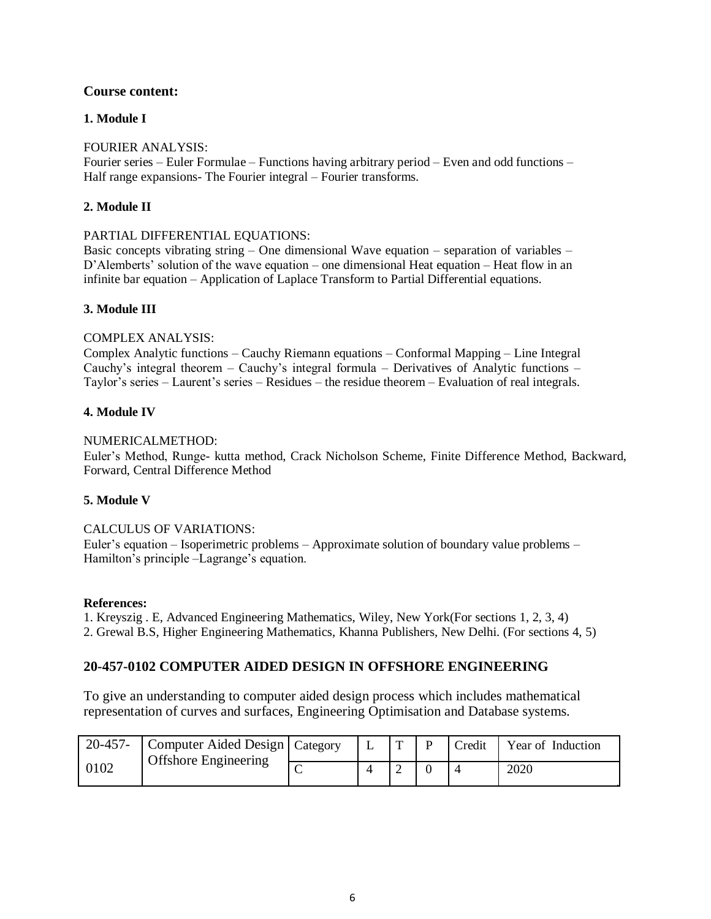### **Course content:**

### **1. Module I**

### FOURIER ANALYSIS:

Fourier series – Euler Formulae – Functions having arbitrary period – Even and odd functions – Half range expansions- The Fourier integral – Fourier transforms.

### **2. Module II**

#### PARTIAL DIFFERENTIAL EQUATIONS:

Basic concepts vibrating string – One dimensional Wave equation – separation of variables – D'Alemberts' solution of the wave equation – one dimensional Heat equation – Heat flow in an infinite bar equation – Application of Laplace Transform to Partial Differential equations.

#### **3. Module III**

#### COMPLEX ANALYSIS:

Complex Analytic functions – Cauchy Riemann equations – Conformal Mapping – Line Integral Cauchy's integral theorem – Cauchy's integral formula – Derivatives of Analytic functions – Taylor's series – Laurent's series – Residues – the residue theorem – Evaluation of real integrals.

#### **4. Module IV**

#### NUMERICALMETHOD:

Euler's Method, Runge- kutta method, Crack Nicholson Scheme, Finite Difference Method, Backward, Forward, Central Difference Method

#### **5. Module V**

#### CALCULUS OF VARIATIONS:

Euler's equation – Isoperimetric problems – Approximate solution of boundary value problems – Hamilton's principle –Lagrange's equation.

#### **References:**

1. Kreyszig . E, Advanced Engineering Mathematics, Wiley, New York(For sections 1, 2, 3, 4) 2. Grewal B.S, Higher Engineering Mathematics, Khanna Publishers, New Delhi. (For sections 4, 5)

# **20-457-0102 COMPUTER AIDED DESIGN IN OFFSHORE ENGINEERING**

To give an understanding to computer aided design process which includes mathematical representation of curves and surfaces, Engineering Optimisation and Database systems.

| $20 - 457 -$ | Computer Aided Design   Category |  | D | Credit | Year of Induction |
|--------------|----------------------------------|--|---|--------|-------------------|
| 0102         | <b>Offshore Engineering</b>      |  |   |        | 2020              |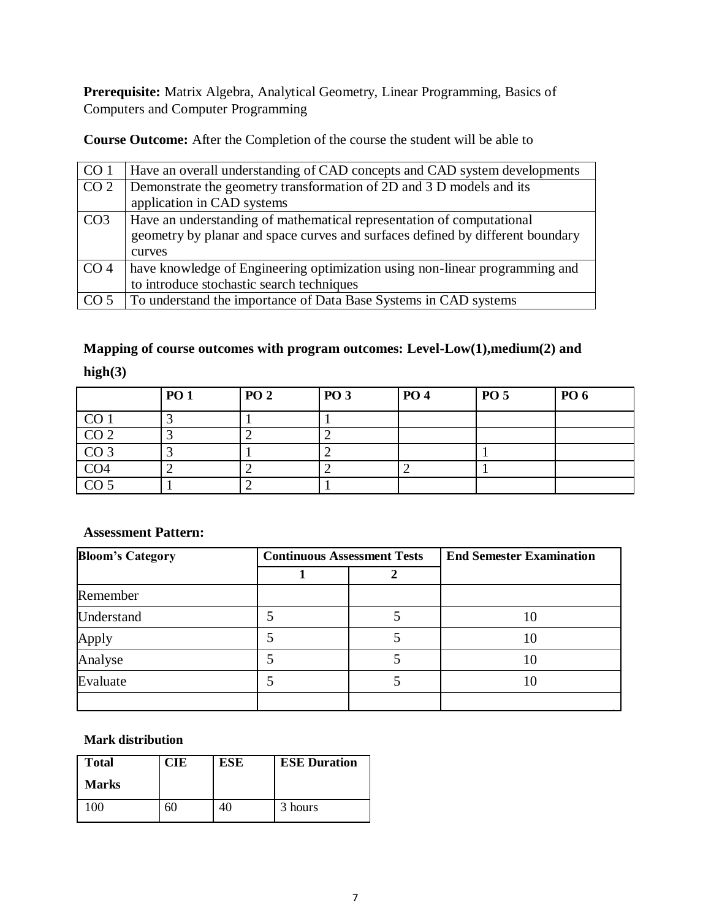**Prerequisite:** Matrix Algebra, Analytical Geometry, Linear Programming, Basics of Computers and Computer Programming

**Course Outcome:** After the Completion of the course the student will be able to

| CO <sub>1</sub> | Have an overall understanding of CAD concepts and CAD system developments      |
|-----------------|--------------------------------------------------------------------------------|
| CO <sub>2</sub> | Demonstrate the geometry transformation of 2D and 3 D models and its           |
|                 | application in CAD systems                                                     |
| CO <sub>3</sub> | Have an understanding of mathematical representation of computational          |
|                 | geometry by planar and space curves and surfaces defined by different boundary |
|                 | curves                                                                         |
| CO <sub>4</sub> | have knowledge of Engineering optimization using non-linear programming and    |
|                 | to introduce stochastic search techniques                                      |
| CO <sub>5</sub> | To understand the importance of Data Base Systems in CAD systems               |

# **Mapping of course outcomes with program outcomes: Level-Low(1),medium(2) and high(3)**

|                                  | <b>PO 1</b> | <b>PO 2</b> | <b>PO 3</b> | <b>PO 4</b> | <b>PO 5</b> | PO 6 |
|----------------------------------|-------------|-------------|-------------|-------------|-------------|------|
| CO <sub>1</sub>                  |             |             |             |             |             |      |
| CO <sub>2</sub>                  |             |             |             |             |             |      |
| $\frac{\text{CO 3}}{\text{CO4}}$ |             |             |             |             |             |      |
|                                  |             |             |             |             |             |      |
| CO <sub>5</sub>                  |             |             |             |             |             |      |

# **Assessment Pattern:**

| <b>Bloom's Category</b> | <b>Continuous Assessment Tests</b> | <b>End Semester Examination</b> |
|-------------------------|------------------------------------|---------------------------------|
|                         |                                    |                                 |
| Remember                |                                    |                                 |
| Understand              |                                    | 10                              |
| Apply                   |                                    | 10                              |
| Analyse                 | 5                                  | 10                              |
| Evaluate                |                                    | 10                              |
|                         |                                    |                                 |

# **Mark distribution**

| <b>Total</b> | CIE | <b>ESE</b> | <b>ESE Duration</b> |
|--------------|-----|------------|---------------------|
| <b>Marks</b> |     |            |                     |
| ി()          | 5U  |            | 3 hours             |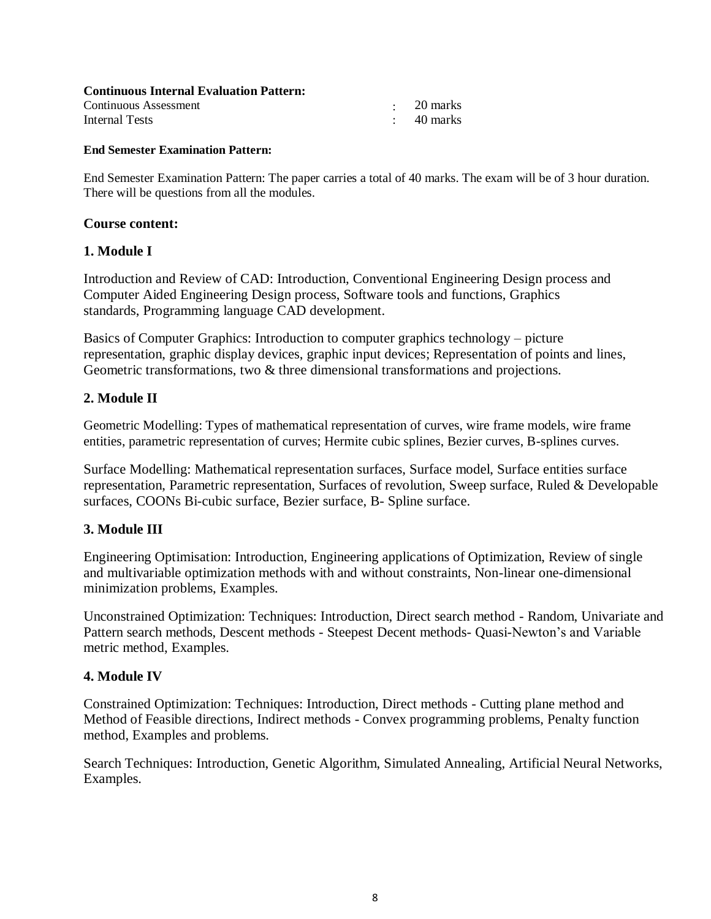| <b>Continuous Internal Evaluation Pattern:</b> |            |
|------------------------------------------------|------------|
| Continuous Assessment                          | - 20 marks |
| Internal Tests                                 | 40 marks   |

#### **End Semester Examination Pattern:**

End Semester Examination Pattern: The paper carries a total of 40 marks. The exam will be of 3 hour duration. There will be questions from all the modules.

### **Course content:**

# **1. Module I**

Introduction and Review of CAD: Introduction, Conventional Engineering Design process and Computer Aided Engineering Design process, Software tools and functions, Graphics standards, Programming language CAD development.

Basics of Computer Graphics: Introduction to computer graphics technology – picture representation, graphic display devices, graphic input devices; Representation of points and lines, Geometric transformations, two & three dimensional transformations and projections.

# **2. Module II**

Geometric Modelling: Types of mathematical representation of curves, wire frame models, wire frame entities, parametric representation of curves; Hermite cubic splines, Bezier curves, B-splines curves.

Surface Modelling: Mathematical representation surfaces, Surface model, Surface entities surface representation, Parametric representation, Surfaces of revolution, Sweep surface, Ruled & Developable surfaces, COONs Bi-cubic surface, Bezier surface, B- Spline surface.

# **3. Module III**

Engineering Optimisation: Introduction, Engineering applications of Optimization, Review of single and multivariable optimization methods with and without constraints, Non-linear one-dimensional minimization problems, Examples.

Unconstrained Optimization: Techniques: Introduction, Direct search method - Random, Univariate and Pattern search methods, Descent methods - Steepest Decent methods- Quasi-Newton's and Variable metric method, Examples.

# **4. Module IV**

Constrained Optimization: Techniques: Introduction, Direct methods - Cutting plane method and Method of Feasible directions, Indirect methods - Convex programming problems, Penalty function method, Examples and problems.

Search Techniques: Introduction, Genetic Algorithm, Simulated Annealing, Artificial Neural Networks, Examples.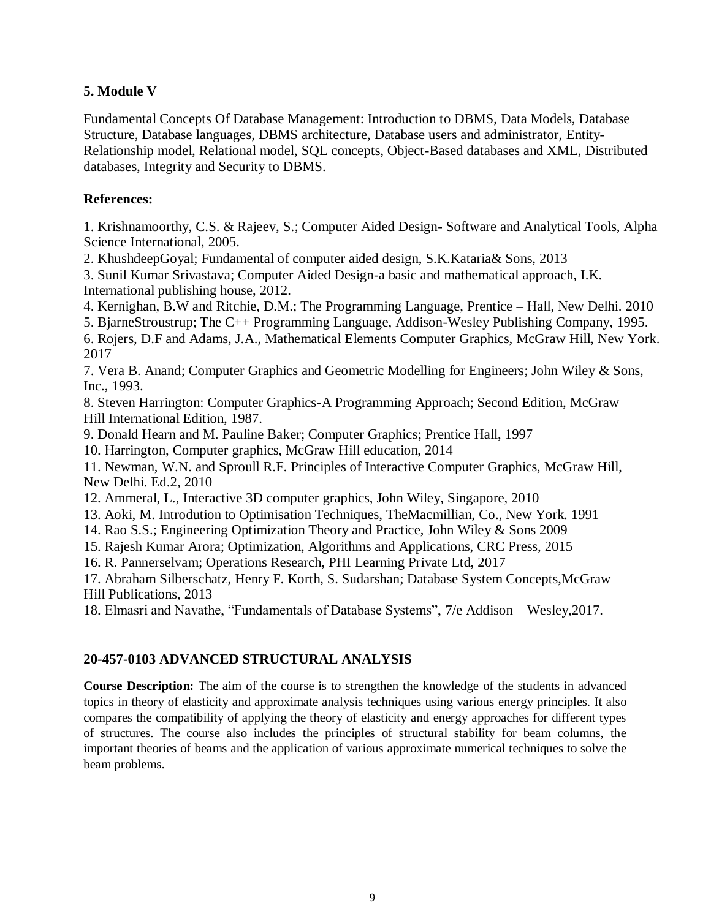# **5. Module V**

Fundamental Concepts Of Database Management: Introduction to DBMS, Data Models, Database Structure, Database languages, DBMS architecture, Database users and administrator, Entity-Relationship model, Relational model, SQL concepts, Object-Based databases and XML, Distributed databases, Integrity and Security to DBMS.

# **References:**

1. Krishnamoorthy, C.S. & Rajeev, S.; Computer Aided Design- Software and Analytical Tools, Alpha Science International, 2005.

2. KhushdeepGoyal; Fundamental of computer aided design, S.K.Kataria& Sons, 2013

3. Sunil Kumar Srivastava; Computer Aided Design-a basic and mathematical approach, I.K. International publishing house, 2012.

4. Kernighan, B.W and Ritchie, D.M.; The Programming Language, Prentice – Hall, New Delhi. 2010

5. BjarneStroustrup; The C++ Programming Language, Addison-Wesley Publishing Company, 1995.

6. Rojers, D.F and Adams, J.A., Mathematical Elements Computer Graphics, McGraw Hill, New York. 2017

7. Vera B. Anand; Computer Graphics and Geometric Modelling for Engineers; John Wiley & Sons, Inc., 1993.

8. Steven Harrington: Computer Graphics-A Programming Approach; Second Edition, McGraw Hill International Edition, 1987.

9. Donald Hearn and M. Pauline Baker; Computer Graphics; Prentice Hall, 1997

10. Harrington, Computer graphics, McGraw Hill education, 2014

11. Newman, W.N. and Sproull R.F. Principles of Interactive Computer Graphics, McGraw Hill, New Delhi. Ed.2, 2010

12. Ammeral, L., Interactive 3D computer graphics, John Wiley, Singapore, 2010

13. Aoki, M. Introdution to Optimisation Techniques, TheMacmillian, Co., New York. 1991

14. Rao S.S.; Engineering Optimization Theory and Practice, John Wiley & Sons 2009

15. Rajesh Kumar Arora; Optimization, Algorithms and Applications, CRC Press, 2015

16. R. Pannerselvam; Operations Research, PHI Learning Private Ltd, 2017

17. Abraham Silberschatz, Henry F. Korth, S. Sudarshan; Database System Concepts,McGraw Hill Publications, 2013

18. Elmasri and Navathe, "Fundamentals of Database Systems", 7/e Addison – Wesley,2017.

# **20-457-0103 ADVANCED STRUCTURAL ANALYSIS**

**Course Description:** The aim of the course is to strengthen the knowledge of the students in advanced topics in theory of elasticity and approximate analysis techniques using various energy principles. It also compares the compatibility of applying the theory of elasticity and energy approaches for different types of structures. The course also includes the principles of structural stability for beam columns, the important theories of beams and the application of various approximate numerical techniques to solve the beam problems.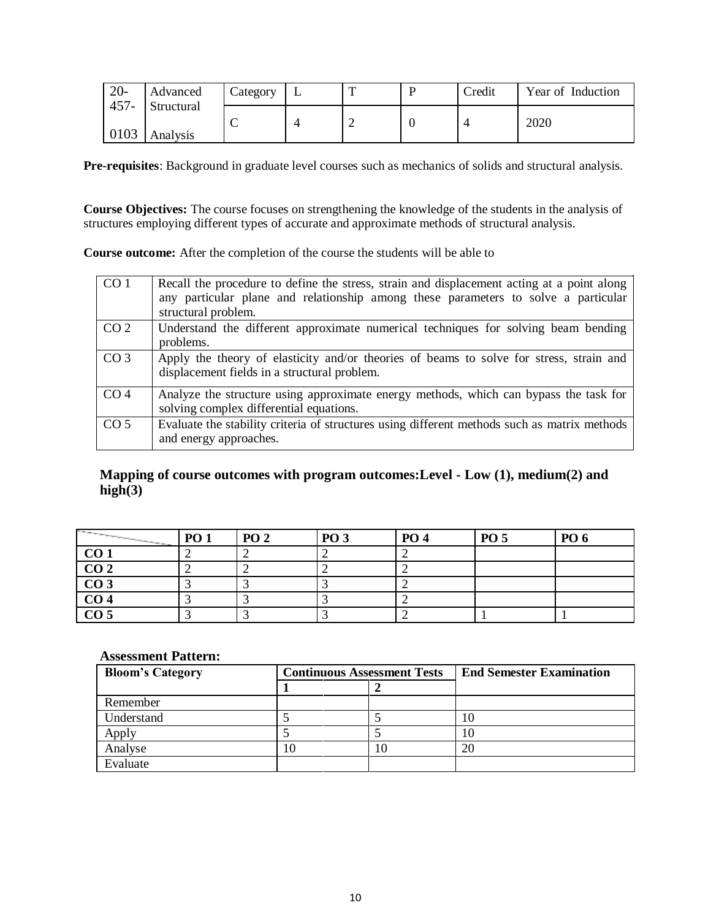| $20 -$  | Advanced   | Lategory | $\mathbf{r}$ | Credit | Year of Induction |
|---------|------------|----------|--------------|--------|-------------------|
| $457 -$ | Structural |          |              |        | 2020              |
| 0103    | Analysis   |          |              |        |                   |

**Pre-requisites**: Background in graduate level courses such as mechanics of solids and structural analysis.

**Course Objectives:** The course focuses on strengthening the knowledge of the students in the analysis of structures employing different types of accurate and approximate methods of structural analysis.

**Course outcome:** After the completion of the course the students will be able to

| CO <sub>1</sub> | Recall the procedure to define the stress, strain and displacement acting at a point along<br>any particular plane and relationship among these parameters to solve a particular<br>structural problem. |
|-----------------|---------------------------------------------------------------------------------------------------------------------------------------------------------------------------------------------------------|
| CO <sub>2</sub> | Understand the different approximate numerical techniques for solving beam bending<br>problems.                                                                                                         |
| CO <sub>3</sub> | Apply the theory of elasticity and/or theories of beams to solve for stress, strain and<br>displacement fields in a structural problem.                                                                 |
| CO <sub>4</sub> | Analyze the structure using approximate energy methods, which can bypass the task for<br>solving complex differential equations.                                                                        |
| CO <sub>5</sub> | Evaluate the stability criteria of structures using different methods such as matrix methods<br>and energy approaches.                                                                                  |

# **Mapping of course outcomes with program outcomes:Level - Low (1), medium(2) and**   $high(3)$

| <b>Contract Contract</b> | <b>PO 1</b> | PO <sub>2</sub> | <b>PO 3</b> | <b>PO 4</b> | <b>PO 5</b> | <b>PO</b> 6 |
|--------------------------|-------------|-----------------|-------------|-------------|-------------|-------------|
| CO <sub>1</sub>          |             |                 |             |             |             |             |
| $\overline{CO2}$         |             |                 |             |             |             |             |
| CO <sub>3</sub>          |             |                 |             |             |             |             |
| CO <sub>4</sub>          |             |                 |             |             |             |             |
| $\overline{CO5}$         |             |                 |             |             |             |             |

#### **Assessment Pattern:**

| <b>Bloom's Category</b> | <b>Continuous Assessment Tests</b> | <b>End Semester Examination</b> |
|-------------------------|------------------------------------|---------------------------------|
|                         |                                    |                                 |
| Remember                |                                    |                                 |
| Understand              |                                    |                                 |
| Apply                   |                                    |                                 |
| Analyse                 | 10                                 | 20                              |
| Evaluate                |                                    |                                 |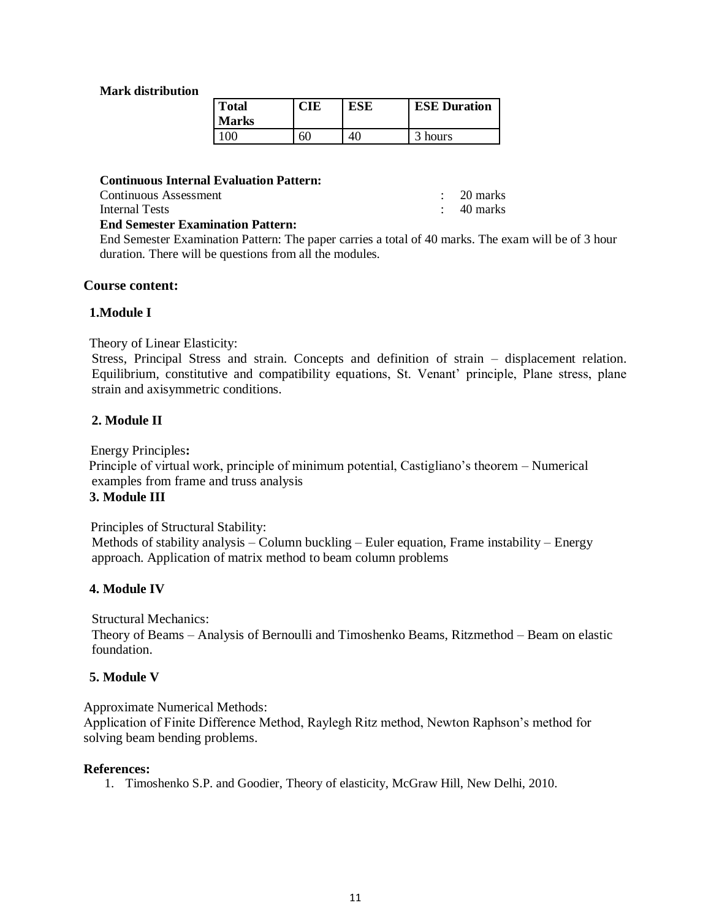#### **Mark distribution**

| <b>Total</b><br><b>Marks</b> |    | <b>ESE</b> | <b>ESE Duration</b> |
|------------------------------|----|------------|---------------------|
| $100 -$                      | 60 |            | 3 hours             |

**Continuous Internal Evaluation Pattern:**

Continuous Assessment : 20 marks

Internal Tests : 40 marks

### **End Semester Examination Pattern:**

End Semester Examination Pattern: The paper carries a total of 40 marks. The exam will be of 3 hour duration. There will be questions from all the modules.

#### **Course content:**

### **1.Module I**

Theory of Linear Elasticity:

Stress, Principal Stress and strain. Concepts and definition of strain – displacement relation. Equilibrium, constitutive and compatibility equations, St. Venant' principle, Plane stress, plane strain and axisymmetric conditions.

### **2. Module II**

Energy Principles**:**

Principle of virtual work, principle of minimum potential, Castigliano's theorem – Numerical examples from frame and truss analysis

### **3. Module III**

Principles of Structural Stability:

Methods of stability analysis – Column buckling – Euler equation, Frame instability – Energy approach. Application of matrix method to beam column problems

# **4. Module IV**

Structural Mechanics:

Theory of Beams – Analysis of Bernoulli and Timoshenko Beams, Ritzmethod – Beam on elastic foundation.

#### **5. Module V**

Approximate Numerical Methods:

Application of Finite Difference Method, Raylegh Ritz method, Newton Raphson's method for solving beam bending problems.

#### **References:**

1. Timoshenko S.P. and Goodier, Theory of elasticity, McGraw Hill, New Delhi, 2010.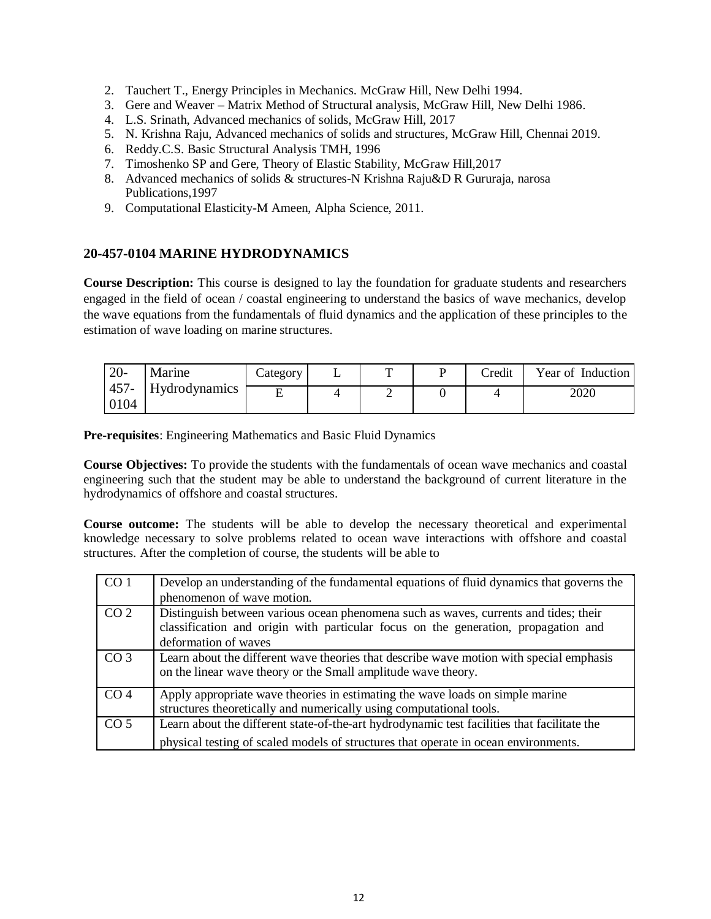- 2. Tauchert T., Energy Principles in Mechanics. McGraw Hill, New Delhi 1994.
- 3. Gere and Weaver Matrix Method of Structural analysis, McGraw Hill, New Delhi 1986.
- 4. L.S. Srinath, Advanced mechanics of solids, McGraw Hill, 2017
- 5. N. Krishna Raju, Advanced mechanics of solids and structures, McGraw Hill, Chennai 2019.
- 6. Reddy.C.S. Basic Structural Analysis TMH, 1996
- 7. Timoshenko SP and Gere, Theory of Elastic Stability, McGraw Hill,2017
- 8. Advanced mechanics of solids & structures-N Krishna Raju&D R Gururaja, narosa Publications,1997
- 9. Computational Elasticity-M Ameen, Alpha Science, 2011.

# **20-457-0104 MARINE HYDRODYNAMICS**

**Course Description:** This course is designed to lay the foundation for graduate students and researchers engaged in the field of ocean / coastal engineering to understand the basics of wave mechanics, develop the wave equations from the fundamentals of fluid dynamics and the application of these principles to the estimation of wave loading on marine structures.

| $20-$           | Marine               | $\angle$ ategory | ᡣ | Credit | Year of Induction |
|-----------------|----------------------|------------------|---|--------|-------------------|
| $457 -$<br>0104 | <b>Hydrodynamics</b> |                  | ∽ |        | 2020              |

**Pre-requisites**: Engineering Mathematics and Basic Fluid Dynamics

**Course Objectives:** To provide the students with the fundamentals of ocean wave mechanics and coastal engineering such that the student may be able to understand the background of current literature in the hydrodynamics of offshore and coastal structures.

**Course outcome:** The students will be able to develop the necessary theoretical and experimental knowledge necessary to solve problems related to ocean wave interactions with offshore and coastal structures. After the completion of course, the students will be able to

| CO <sub>1</sub> | Develop an understanding of the fundamental equations of fluid dynamics that governs the<br>phenomenon of wave motion.                                                                             |
|-----------------|----------------------------------------------------------------------------------------------------------------------------------------------------------------------------------------------------|
| CO <sub>2</sub> | Distinguish between various ocean phenomena such as waves, currents and tides; their<br>classification and origin with particular focus on the generation, propagation and<br>deformation of waves |
| CO <sub>3</sub> | Learn about the different wave theories that describe wave motion with special emphasis<br>on the linear wave theory or the Small amplitude wave theory.                                           |
| CO <sub>4</sub> | Apply appropriate wave theories in estimating the wave loads on simple marine<br>structures theoretically and numerically using computational tools.                                               |
| CO <sub>5</sub> | Learn about the different state-of-the-art hydrodynamic test facilities that facilitate the<br>physical testing of scaled models of structures that operate in ocean environments.                 |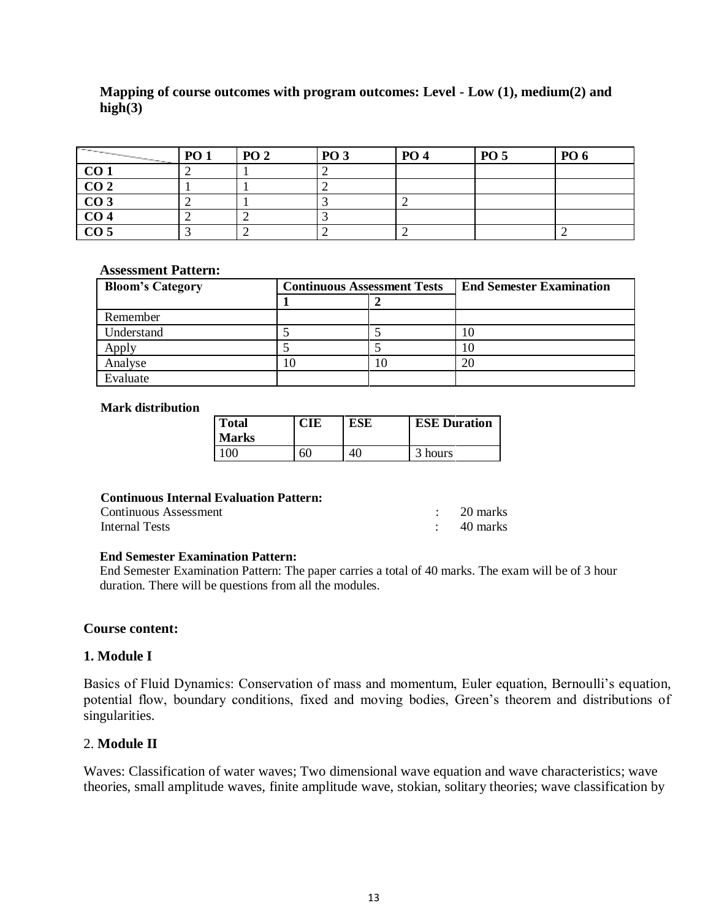# **Mapping of course outcomes with program outcomes: Level - Low (1), medium(2) and high(3)**

| <b>Contract Contract Contract Contract Contract Contract Contract Contract Contract Contract Contract Contract Contract Contract Contract Contract Contract Contract Contract Contract Contract Contract Contract Contract Contr</b><br><b>Contract Contract Contract Contract</b> | <b>PO 1</b> | <b>PO 2</b> | <b>PO 3</b> | <b>PO 4</b> | <b>PO 5</b> | <b>PO</b> 6 |
|------------------------------------------------------------------------------------------------------------------------------------------------------------------------------------------------------------------------------------------------------------------------------------|-------------|-------------|-------------|-------------|-------------|-------------|
| CO <sub>1</sub>                                                                                                                                                                                                                                                                    |             |             |             |             |             |             |
| $\overline{CO2}$                                                                                                                                                                                                                                                                   |             |             |             |             |             |             |
| $\overline{CO3}$                                                                                                                                                                                                                                                                   |             |             |             |             |             |             |
| CO <sub>4</sub>                                                                                                                                                                                                                                                                    |             |             |             |             |             |             |
| $\overline{CO5}$                                                                                                                                                                                                                                                                   |             |             |             |             |             |             |

#### **Assessment Pattern:**

| <b>Bloom's Category</b> | <b>Continuous Assessment Tests</b> | <b>End Semester Examination</b> |
|-------------------------|------------------------------------|---------------------------------|
|                         |                                    |                                 |
| Remember                |                                    |                                 |
| Understand              |                                    |                                 |
|                         |                                    |                                 |
| Analyse                 |                                    | 20                              |
| Evaluate                |                                    |                                 |

#### **Mark distribution**

| <b>Total</b><br>Marks | CIE | ESE | <b>ESE Duration</b> |
|-----------------------|-----|-----|---------------------|
| $\alpha$              | 6C  | 40  | hours               |

### **Continuous Internal Evaluation Pattern:**

| Continuous Assessment | 20 marks |
|-----------------------|----------|
| Internal Tests        | 40 marks |

#### **End Semester Examination Pattern:**

End Semester Examination Pattern: The paper carries a total of 40 marks. The exam will be of 3 hour duration. There will be questions from all the modules.

#### **Course content:**

#### **1. Module I**

Basics of Fluid Dynamics: Conservation of mass and momentum, Euler equation, Bernoulli's equation, potential flow, boundary conditions, fixed and moving bodies, Green's theorem and distributions of singularities.

#### 2. **Module II**

Waves: Classification of water waves; Two dimensional wave equation and wave characteristics; wave theories, small amplitude waves, finite amplitude wave, stokian, solitary theories; wave classification by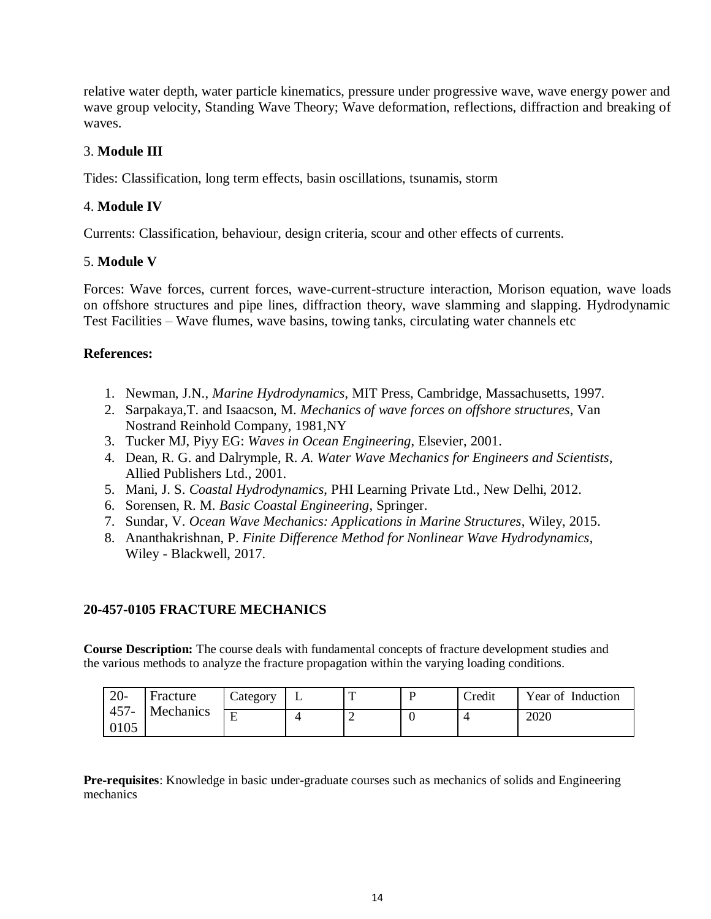relative water depth, water particle kinematics, pressure under progressive wave, wave energy power and wave group velocity, Standing Wave Theory; Wave deformation, reflections, diffraction and breaking of waves.

# 3. **Module III**

Tides: Classification, long term effects, basin oscillations, tsunamis, storm

# 4. **Module IV**

Currents: Classification, behaviour, design criteria, scour and other effects of currents.

# 5. **Module V**

Forces: Wave forces, current forces, wave-current-structure interaction, Morison equation, wave loads on offshore structures and pipe lines, diffraction theory, wave slamming and slapping. Hydrodynamic Test Facilities – Wave flumes, wave basins, towing tanks, circulating water channels etc

# **References:**

- 1. Newman, J.N., *Marine Hydrodynamics*, MIT Press, Cambridge, Massachusetts, 1997.
- 2. Sarpakaya,T. and Isaacson, M. *Mechanics of wave forces on offshore structures*, Van Nostrand Reinhold Company, 1981,NY
- 3. Tucker MJ, Piyy EG: *Waves in Ocean Engineering*, Elsevier, 2001.
- 4. Dean, R. G. and Dalrymple, R. *A. Water Wave Mechanics for Engineers and Scientists*, Allied Publishers Ltd., 2001.
- 5. Mani, J. S. *Coastal Hydrodynamics*, PHI Learning Private Ltd., New Delhi, 2012.
- 6. Sorensen, R. M. *Basic Coastal Engineering*, Springer.
- 7. Sundar, V. *Ocean Wave Mechanics: Applications in Marine Structures*, Wiley, 2015.
- 8. Ananthakrishnan, P. *Finite Difference Method for Nonlinear Wave Hydrodynamics*, Wiley - Blackwell, 2017.

# **20-457-0105 FRACTURE MECHANICS**

**Course Description:** The course deals with fundamental concepts of fracture development studies and the various methods to analyze the fracture propagation within the varying loading conditions.

| $20-$                        | Fracture | $\angle$ ategory | ., |  | Credit | Year of Induction |
|------------------------------|----------|------------------|----|--|--------|-------------------|
| $457 -$<br>Mechanics<br>0105 | F        |                  | ∸  |  | 2020   |                   |

**Pre-requisites**: Knowledge in basic under-graduate courses such as mechanics of solids and Engineering mechanics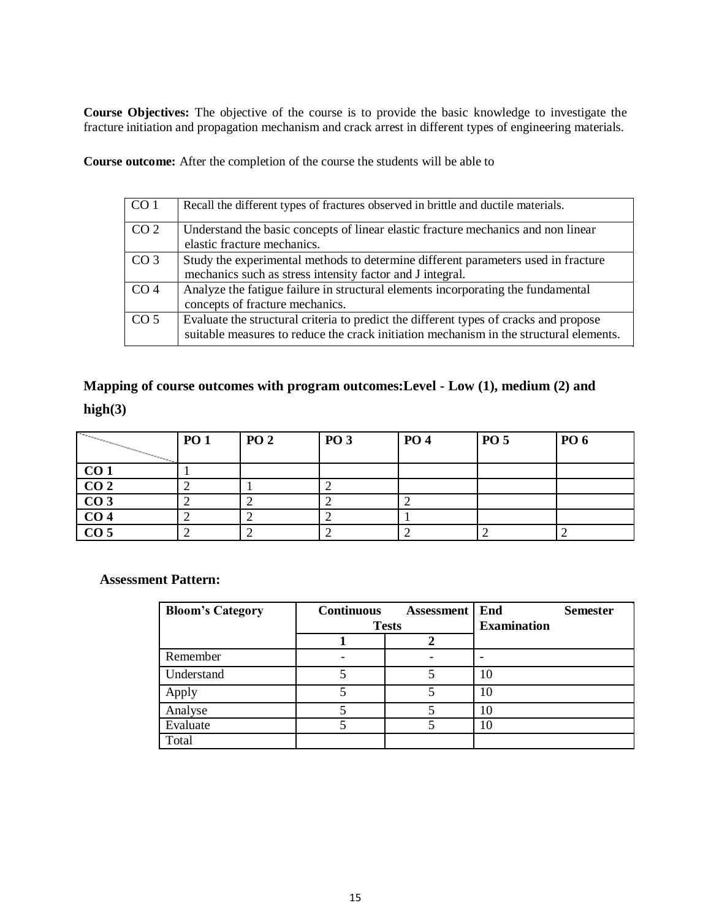**Course Objectives:** The objective of the course is to provide the basic knowledge to investigate the fracture initiation and propagation mechanism and crack arrest in different types of engineering materials.

**Course outcome:** After the completion of the course the students will be able to

| CO <sub>1</sub> | Recall the different types of fractures observed in brittle and ductile materials.                                                                                              |
|-----------------|---------------------------------------------------------------------------------------------------------------------------------------------------------------------------------|
| CO <sub>2</sub> | Understand the basic concepts of linear elastic fracture mechanics and non linear                                                                                               |
|                 | elastic fracture mechanics.                                                                                                                                                     |
| CO <sub>3</sub> | Study the experimental methods to determine different parameters used in fracture                                                                                               |
|                 | mechanics such as stress intensity factor and J integral.                                                                                                                       |
| CO <sub>4</sub> | Analyze the fatigue failure in structural elements incorporating the fundamental                                                                                                |
|                 | concepts of fracture mechanics.                                                                                                                                                 |
| CO <sub>5</sub> | Evaluate the structural criteria to predict the different types of cracks and propose<br>suitable measures to reduce the crack initiation mechanism in the structural elements. |

**Mapping of course outcomes with program outcomes:Level - Low (1), medium (2) and high(3)**

| $\begin{array}{cccccccccc} \mathcal{L}_{\mathcal{M}_{\mathcal{M}_{\mathcal{M}_{\mathcal{M}_{\mathcal{M}_{\mathcal{M}_{\mathcal{M}_{\mathcal{M}_{\mathcal{M}_{\mathcal{M}_{\mathcal{M}_{\mathcal{M}_{\mathcal{M}_{\mathcal{M}_{\mathcal{M}_{\mathcal{M}_{\mathcal{M}_{\mathcal{M}_{\mathcal{M}_{\mathcal{M}_{\mathcal{M}_{\mathcal{M}_{\mathcal{M}_{\mathcal{M}_{\mathcal{M}_{\mathcal{M}_{\mathcal{M}}}}}}}}}}}}\mathit{}}} \end{array}$<br>$\overline{\phantom{1}}$ | <b>PO 1</b> | <b>PO 2</b> | <b>PO 3</b> | <b>PO</b> 4 | P <sub>0</sub> 5 | <b>PO</b> 6 |
|----------------------------------------------------------------------------------------------------------------------------------------------------------------------------------------------------------------------------------------------------------------------------------------------------------------------------------------------------------------------------------------------------------------------------------------------------------------------|-------------|-------------|-------------|-------------|------------------|-------------|
|                                                                                                                                                                                                                                                                                                                                                                                                                                                                      |             |             |             |             |                  |             |
| CO <sub>1</sub>                                                                                                                                                                                                                                                                                                                                                                                                                                                      |             |             |             |             |                  |             |
| CO <sub>2</sub>                                                                                                                                                                                                                                                                                                                                                                                                                                                      |             |             |             |             |                  |             |
| CO <sub>3</sub>                                                                                                                                                                                                                                                                                                                                                                                                                                                      |             |             |             |             |                  |             |
| $\overline{CO4}$                                                                                                                                                                                                                                                                                                                                                                                                                                                     |             |             |             |             |                  |             |
| CO <sub>5</sub>                                                                                                                                                                                                                                                                                                                                                                                                                                                      |             |             |             |             |                  |             |

**Assessment Pattern:**

| <b>Bloom's Category</b> | <b>Continuous</b> | <b>Assessment</b> | End                | <b>Semester</b> |
|-------------------------|-------------------|-------------------|--------------------|-----------------|
|                         | <b>Tests</b>      |                   | <b>Examination</b> |                 |
|                         |                   |                   |                    |                 |
| Remember                |                   |                   |                    |                 |
| Understand              |                   |                   | 10                 |                 |
| Apply                   |                   |                   | 10                 |                 |
| Analyse                 |                   |                   |                    |                 |
| Evaluate                |                   |                   |                    |                 |
| Total                   |                   |                   |                    |                 |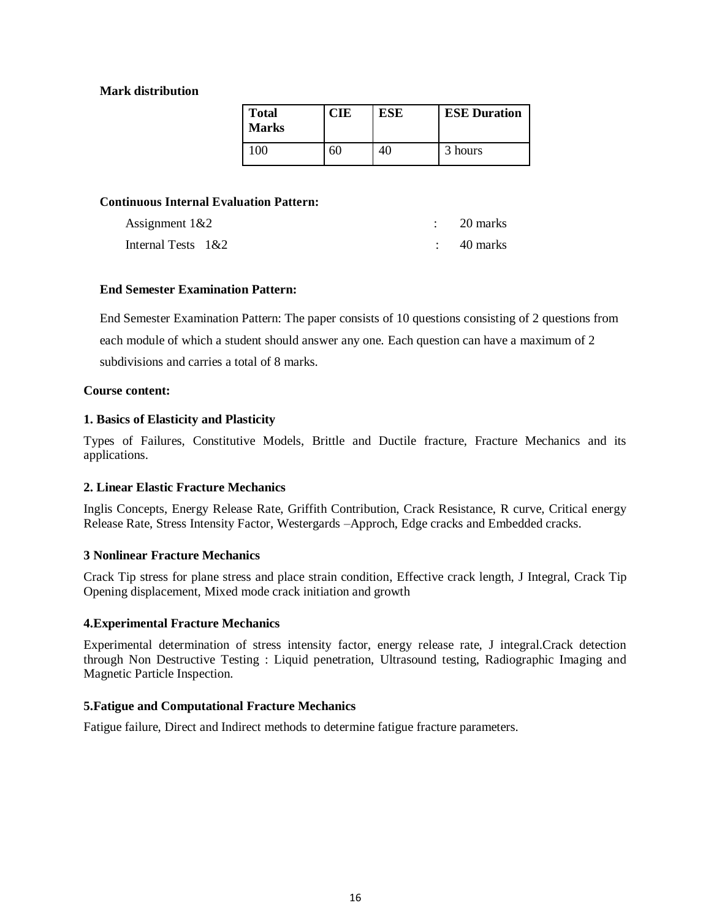#### **Mark distribution**

| <b>Total</b><br><b>Marks</b> | <b>CIE</b> | <b>ESE</b> | <b>ESE Duration</b> |
|------------------------------|------------|------------|---------------------|
| 00                           | 60         |            | 3 hours             |

#### **Continuous Internal Evaluation Pattern:**

| Assignment $1&2$      | 20 marks |
|-----------------------|----------|
| Internal Tests $1&82$ | 40 marks |

#### **End Semester Examination Pattern:**

End Semester Examination Pattern: The paper consists of 10 questions consisting of 2 questions from each module of which a student should answer any one. Each question can have a maximum of 2 subdivisions and carries a total of 8 marks.

#### **Course content:**

#### **1. Basics of Elasticity and Plasticity**

Types of Failures, Constitutive Models, Brittle and Ductile fracture, Fracture Mechanics and its applications.

#### **2. Linear Elastic Fracture Mechanics**

Inglis Concepts, Energy Release Rate, Griffith Contribution, Crack Resistance, R curve, Critical energy Release Rate, Stress Intensity Factor, Westergards –Approch, Edge cracks and Embedded cracks.

#### **3 Nonlinear Fracture Mechanics**

Crack Tip stress for plane stress and place strain condition, Effective crack length, J Integral, Crack Tip Opening displacement, Mixed mode crack initiation and growth

#### **4.Experimental Fracture Mechanics**

Experimental determination of stress intensity factor, energy release rate, J integral.Crack detection through Non Destructive Testing : Liquid penetration, Ultrasound testing, Radiographic Imaging and Magnetic Particle Inspection.

#### **5.Fatigue and Computational Fracture Mechanics**

Fatigue failure, Direct and Indirect methods to determine fatigue fracture parameters.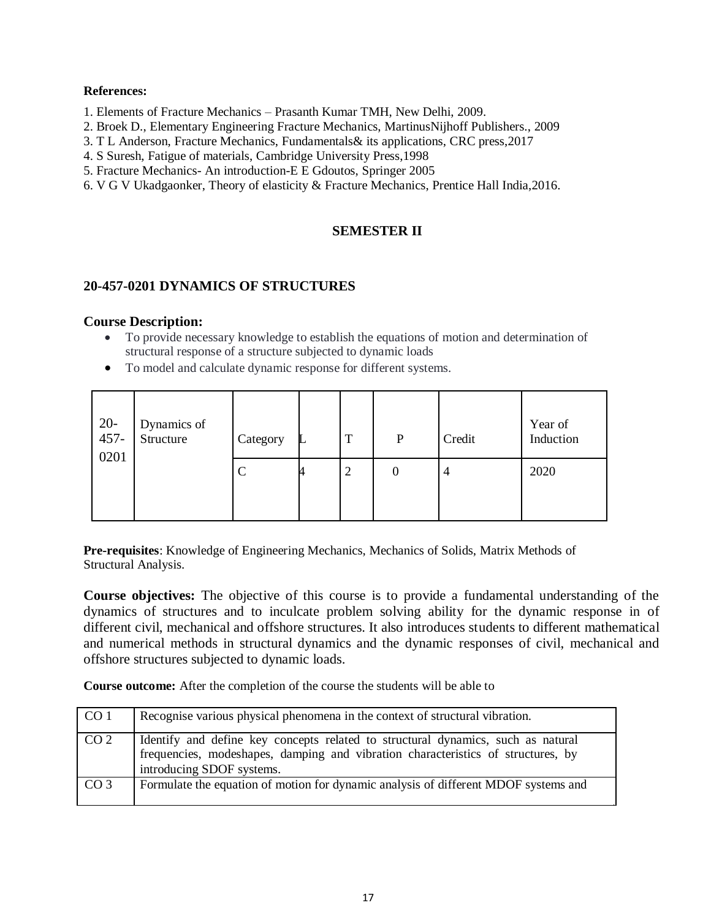#### **References:**

- 1. Elements of Fracture Mechanics Prasanth Kumar TMH, New Delhi, 2009.
- 2. Broek D., Elementary Engineering Fracture Mechanics, MartinusNijhoff Publishers., 2009
- 3. T L Anderson, Fracture Mechanics, Fundamentals& its applications, CRC press,2017
- 4. S Suresh, Fatigue of materials, Cambridge University Press,1998
- 5. Fracture Mechanics- An introduction-E E Gdoutos, Springer 2005
- 6. V G V Ukadgaonker, Theory of elasticity & Fracture Mechanics, Prentice Hall India,2016.

# **SEMESTER II**

### **20-457-0201 DYNAMICS OF STRUCTURES**

#### **Course Description:**

- To provide necessary knowledge to establish the equations of motion and determination of structural response of a structure subjected to dynamic loads
- To model and calculate dynamic response for different systems.

| $20-457-$<br>0201 | Dynamics of<br>Structure | Category |   | T | P | Credit | Year of<br>Induction |
|-------------------|--------------------------|----------|---|---|---|--------|----------------------|
|                   |                          |          | - | ∠ |   | 4      | 2020                 |

**Pre-requisites**: Knowledge of Engineering Mechanics, Mechanics of Solids, Matrix Methods of Structural Analysis.

**Course objectives:** The objective of this course is to provide a fundamental understanding of the dynamics of structures and to inculcate problem solving ability for the dynamic response in of different civil, mechanical and offshore structures. It also introduces students to different mathematical and numerical methods in structural dynamics and the dynamic responses of civil, mechanical and offshore structures subjected to dynamic loads.

**Course outcome:** After the completion of the course the students will be able to

| CO <sub>1</sub> | Recognise various physical phenomena in the context of structural vibration.                                                                                                                      |
|-----------------|---------------------------------------------------------------------------------------------------------------------------------------------------------------------------------------------------|
| CO <sub>2</sub> | Identify and define key concepts related to structural dynamics, such as natural<br>frequencies, modeshapes, damping and vibration characteristics of structures, by<br>introducing SDOF systems. |
| CO <sub>3</sub> | Formulate the equation of motion for dynamic analysis of different MDOF systems and                                                                                                               |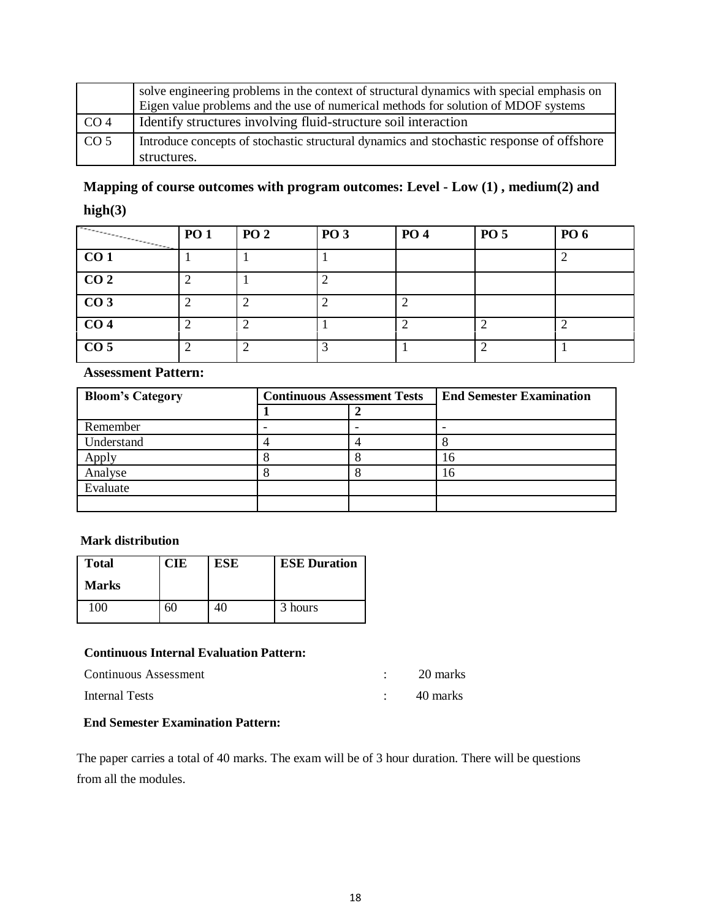|                 | solve engineering problems in the context of structural dynamics with special emphasis on<br>Eigen value problems and the use of numerical methods for solution of MDOF systems |
|-----------------|---------------------------------------------------------------------------------------------------------------------------------------------------------------------------------|
| CO <sub>4</sub> | Identify structures involving fluid-structure soil interaction                                                                                                                  |
| CO <sub>5</sub> | Introduce concepts of stochastic structural dynamics and stochastic response of offshore                                                                                        |
|                 | structures.                                                                                                                                                                     |

# **Mapping of course outcomes with program outcomes: Level - Low (1) , medium(2) and high(3)**

| $\overline{\phantom{a}}$ | <b>PO 1</b> | <b>PO 2</b> | <b>PO 3</b> | <b>PO4</b> | <b>PO 5</b> | <b>PO 6</b> |
|--------------------------|-------------|-------------|-------------|------------|-------------|-------------|
| CO <sub>1</sub>          |             |             |             |            |             |             |
| CO <sub>2</sub>          |             |             |             |            |             |             |
| $\overline{CO3}$         |             | n           |             |            |             |             |
| CO <sub>4</sub>          |             | ി           |             |            | ◠           |             |
| $\overline{CO5}$         |             | ി           |             |            | ⌒           |             |

# **Assessment Pattern:**

| <b>Bloom's Category</b> | <b>Continuous Assessment Tests</b> |  | <b>End Semester Examination</b> |
|-------------------------|------------------------------------|--|---------------------------------|
|                         |                                    |  |                                 |
| Remember                |                                    |  |                                 |
| Understand              |                                    |  |                                 |
| Apply                   |                                    |  |                                 |
| Analyse                 |                                    |  |                                 |
| Evaluate                |                                    |  |                                 |
|                         |                                    |  |                                 |

#### **Mark distribution**

| <b>Total</b> | CIE | <b>ESE</b> | <b>ESE Duration</b> |
|--------------|-----|------------|---------------------|
| <b>Marks</b> |     |            |                     |
| 100          | C.  | 40.        | 3 hours             |

#### **Continuous Internal Evaluation Pattern:**

| Continuous Assessment | 20 marks |
|-----------------------|----------|
| <b>Internal Tests</b> | 40 marks |

# **End Semester Examination Pattern:**

The paper carries a total of 40 marks. The exam will be of 3 hour duration. There will be questions from all the modules.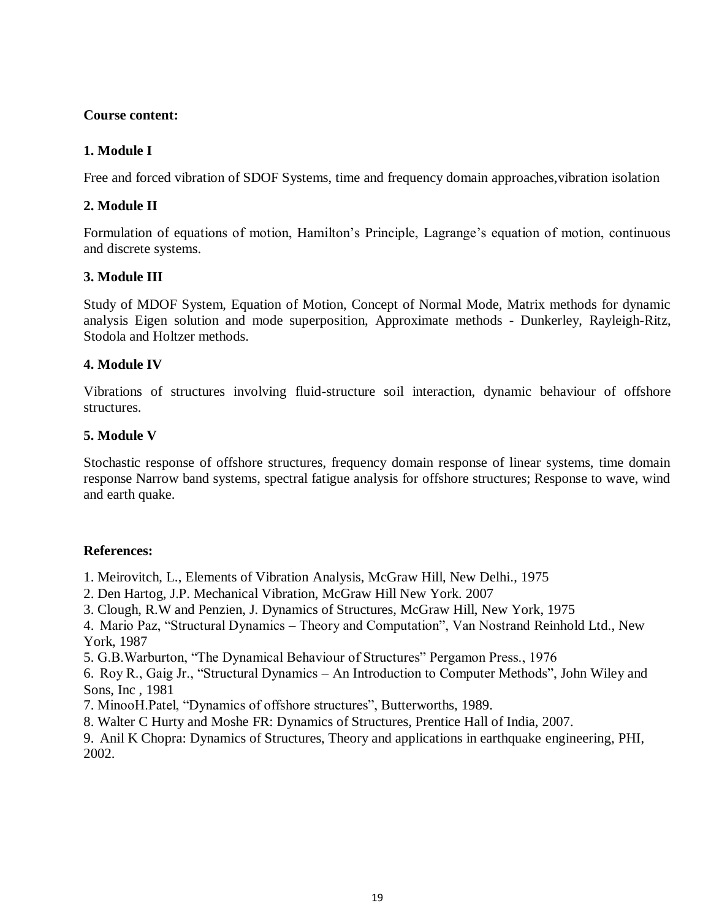# **Course content:**

# **1. Module I**

Free and forced vibration of SDOF Systems, time and frequency domain approaches,vibration isolation

# **2. Module II**

Formulation of equations of motion, Hamilton's Principle, Lagrange's equation of motion, continuous and discrete systems.

# **3. Module III**

Study of MDOF System, Equation of Motion, Concept of Normal Mode, Matrix methods for dynamic analysis Eigen solution and mode superposition, Approximate methods - Dunkerley, Rayleigh-Ritz, Stodola and Holtzer methods.

# **4. Module IV**

Vibrations of structures involving fluid-structure soil interaction, dynamic behaviour of offshore structures.

# **5. Module V**

Stochastic response of offshore structures, frequency domain response of linear systems, time domain response Narrow band systems, spectral fatigue analysis for offshore structures; Response to wave, wind and earth quake.

# **References:**

1. Meirovitch, L., Elements of Vibration Analysis, McGraw Hill, New Delhi., 1975

- 2. Den Hartog, J.P. Mechanical Vibration, McGraw Hill New York. 2007
- 3. Clough, R.W and Penzien, J. Dynamics of Structures, McGraw Hill, New York, 1975

4. Mario Paz, "Structural Dynamics – Theory and Computation", Van Nostrand Reinhold Ltd., New York, 1987

5. G.B.Warburton, "The Dynamical Behaviour of Structures" Pergamon Press., 1976

6. Roy R., Gaig Jr., "Structural Dynamics – An Introduction to Computer Methods", John Wiley and Sons, Inc , 1981

- 7. MinooH.Patel, "Dynamics of offshore structures", Butterworths, 1989.
- 8. Walter C Hurty and Moshe FR: Dynamics of Structures, Prentice Hall of India, 2007.
- 9. Anil K Chopra: Dynamics of Structures, Theory and applications in earthquake engineering, PHI, 2002.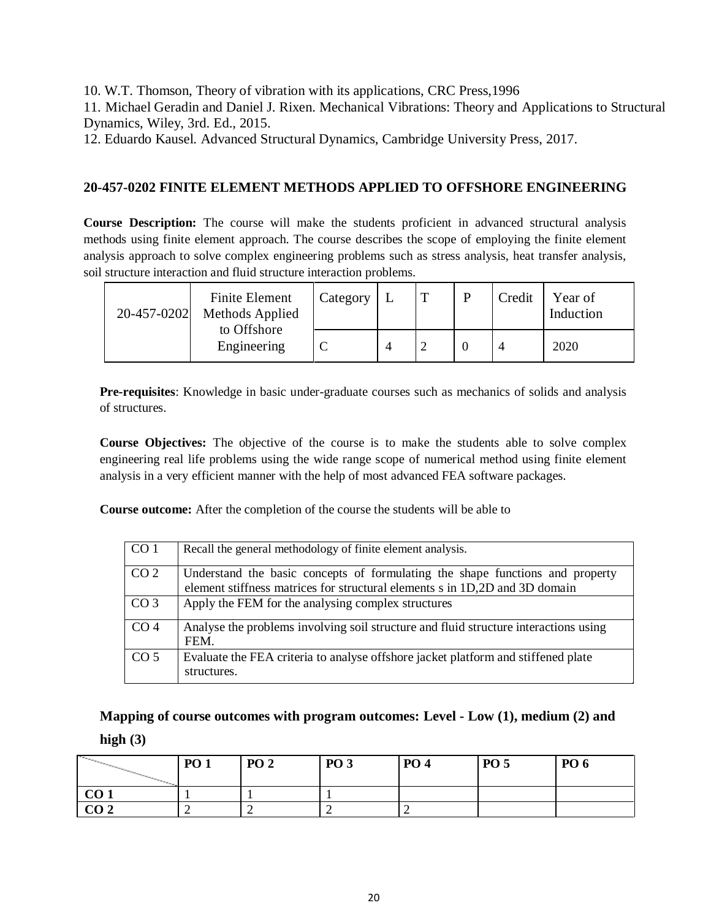10. W.T. Thomson, Theory of vibration with its applications, CRC Press,1996

11. Michael Geradin and Daniel J. Rixen. Mechanical Vibrations: Theory and Applications to Structural Dynamics, Wiley, 3rd. Ed., 2015.

12. Eduardo Kausel. Advanced Structural Dynamics, Cambridge University Press, 2017.

# **20-457-0202 FINITE ELEMENT METHODS APPLIED TO OFFSHORE ENGINEERING**

**Course Description:** The course will make the students proficient in advanced structural analysis methods using finite element approach. The course describes the scope of employing the finite element analysis approach to solve complex engineering problems such as stress analysis, heat transfer analysis, soil structure interaction and fluid structure interaction problems.

| 20-457-0202 | <b>Finite Element</b><br>Methods Applied | Category | m | Credit | Year of<br>Induction |
|-------------|------------------------------------------|----------|---|--------|----------------------|
|             | to Offshore<br>Engineering               |          |   |        | 2020                 |

**Pre-requisites**: Knowledge in basic under-graduate courses such as mechanics of solids and analysis of structures.

**Course Objectives:** The objective of the course is to make the students able to solve complex engineering real life problems using the wide range scope of numerical method using finite element analysis in a very efficient manner with the help of most advanced FEA software packages.

**Course outcome:** After the completion of the course the students will be able to

| CO <sub>1</sub> | Recall the general methodology of finite element analysis.                                                                                                   |
|-----------------|--------------------------------------------------------------------------------------------------------------------------------------------------------------|
| CO <sub>2</sub> | Understand the basic concepts of formulating the shape functions and property<br>element stiffness matrices for structural elements s in 1D,2D and 3D domain |
| CO <sub>3</sub> | Apply the FEM for the analysing complex structures                                                                                                           |
| CO <sub>4</sub> | Analyse the problems involving soil structure and fluid structure interactions using<br>FEM.                                                                 |
| CO <sub>5</sub> | Evaluate the FEA criteria to analyse offshore jacket platform and stiffened plate<br>structures.                                                             |

**Mapping of course outcomes with program outcomes: Level - Low (1), medium (2) and** 

#### **high (3)**

| <b>Contract Contract Contract Contract</b> | <b>PO1</b> | <b>PO 2</b> | <b>PO 3</b> | <b>PO 4</b> | <b>PO 5</b> | <b>PO 6</b> |
|--------------------------------------------|------------|-------------|-------------|-------------|-------------|-------------|
| CO <sub>1</sub>                            |            |             |             |             |             |             |
| CO <sub>2</sub>                            |            |             |             |             |             |             |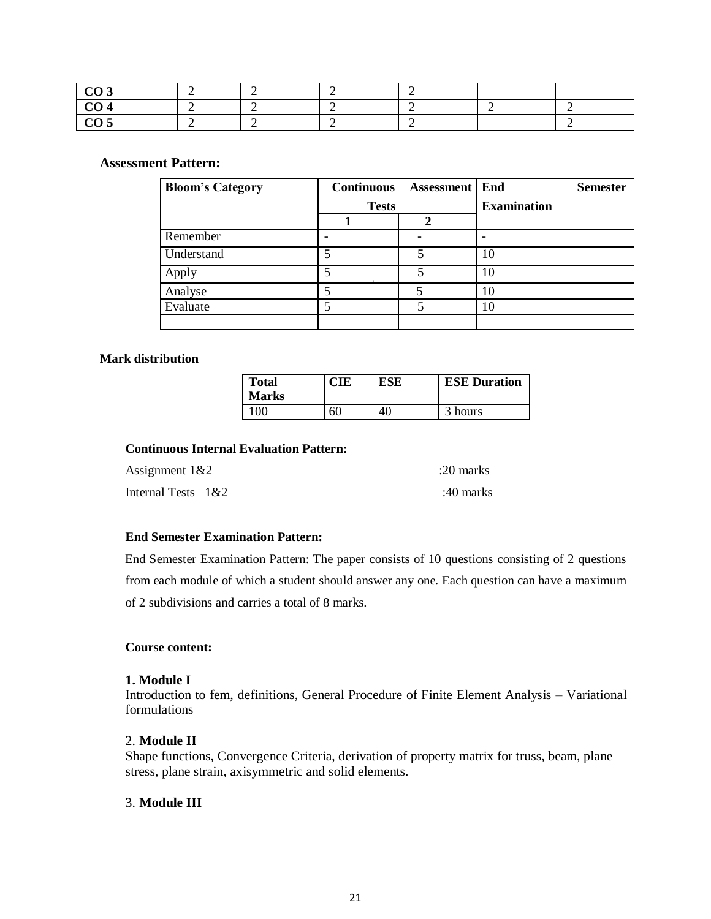| . |  |  |  |
|---|--|--|--|

#### **Assessment Pattern:**

| <b>Bloom's Category</b> | <b>Continuous</b> | <b>Assessment</b> | End<br><b>Semester</b> |
|-------------------------|-------------------|-------------------|------------------------|
|                         | <b>Tests</b>      |                   | <b>Examination</b>     |
|                         |                   |                   |                        |
| Remember                |                   |                   |                        |
| Understand              | 5                 | ς                 | 10                     |
| Apply                   | 5                 |                   | 10                     |
| Analyse                 |                   |                   | 10                     |
| Evaluate                |                   |                   | 10                     |
|                         |                   |                   |                        |

#### **Mark distribution**

| <b>Total</b><br><b>Marks</b> |    | <b>ESE</b> | <b>ESE Duration</b> |
|------------------------------|----|------------|---------------------|
| 00                           | 60 |            | 3 hours             |

# **Continuous Internal Evaluation Pattern:**

| Assignment $1&2$      | :20 marks |
|-----------------------|-----------|
| Internal Tests $1&82$ | :40 marks |

#### **End Semester Examination Pattern:**

End Semester Examination Pattern: The paper consists of 10 questions consisting of 2 questions from each module of which a student should answer any one. Each question can have a maximum of 2 subdivisions and carries a total of 8 marks.

#### **Course content:**

#### **1. Module I**

Introduction to fem, definitions, General Procedure of Finite Element Analysis – Variational formulations

### 2. **Module II**

Shape functions, Convergence Criteria, derivation of property matrix for truss, beam, plane stress, plane strain, axisymmetric and solid elements.

#### 3. **Module III**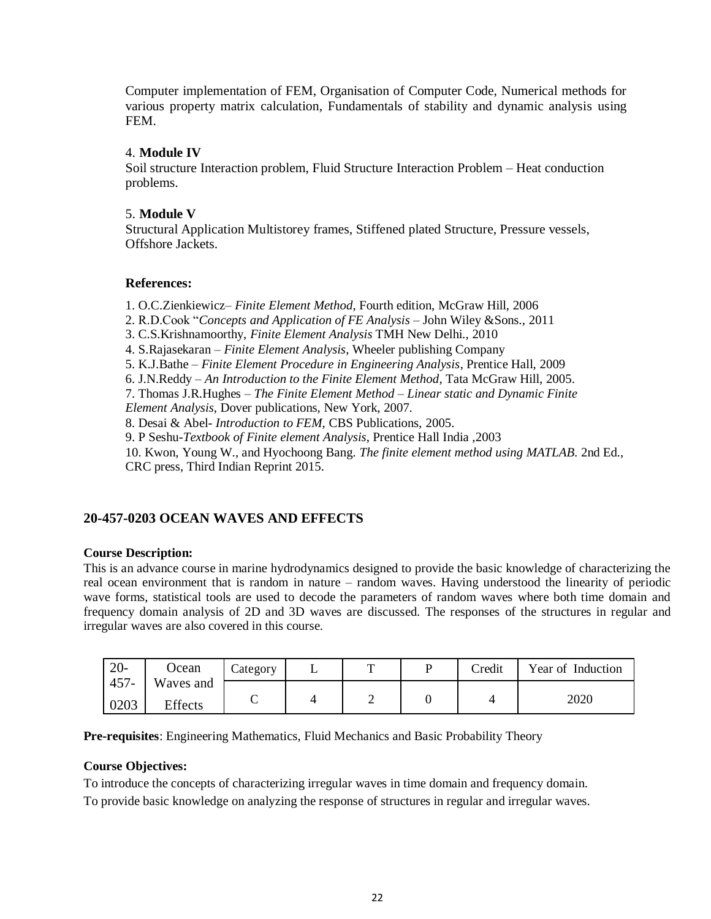Computer implementation of FEM, Organisation of Computer Code, Numerical methods for various property matrix calculation, Fundamentals of stability and dynamic analysis using FEM.

### 4. **Module IV**

Soil structure Interaction problem, Fluid Structure Interaction Problem – Heat conduction problems.

### 5. **Module V**

Structural Application Multistorey frames, Stiffened plated Structure, Pressure vessels, Offshore Jackets.

### **References:**

1. O.C.Zienkiewicz*– Finite Element Method*, Fourth edition, McGraw Hill, 2006 2. R.D.Cook "*Concepts and Application of FE Analysis* – John Wiley &Sons., 2011 3. C.S.Krishnamoorthy, *Finite Element Analysis* TMH New Delhi., 2010 4. S.Rajasekaran – *Finite Element Analysis*, Wheeler publishing Company 5. K.J.Bathe – *Finite Element Procedure in Engineering Analysis*, Prentice Hall, 2009 6. J.N.Reddy – *An Introduction to the Finite Element Method*, Tata McGraw Hill, 2005. 7. Thomas J.R.Hughes – *The Finite Element Method – Linear static and Dynamic Finite Element Analysis*, Dover publications, New York, 2007. 8. Desai & Abel- *Introduction to FEM*, CBS Publications, 2005. 9. P Seshu-*Textbook of Finite element Analysis*, Prentice Hall India ,2003 10. Kwon, Young W., and Hyochoong Bang. *The finite element method using MATLAB*. 2nd Ed., CRC press, Third Indian Reprint 2015.

# **20-457-0203 OCEAN WAVES AND EFFECTS**

#### **Course Description:**

This is an advance course in marine hydrodynamics designed to provide the basic knowledge of characterizing the real ocean environment that is random in nature – random waves. Having understood the linearity of periodic wave forms, statistical tools are used to decode the parameters of random waves where both time domain and frequency domain analysis of 2D and 3D waves are discussed. The responses of the structures in regular and irregular waves are also covered in this course.

| $20 -$  | <b>Ocean</b> | $\angle$ ategory | m | D | Credit | Year of Induction |
|---------|--------------|------------------|---|---|--------|-------------------|
| $457 -$ | Waves and    |                  |   |   |        |                   |
| 0203    | Effects      |                  | ∸ |   |        | 2020              |

**Pre-requisites**: Engineering Mathematics, Fluid Mechanics and Basic Probability Theory

#### **Course Objectives:**

To introduce the concepts of characterizing irregular waves in time domain and frequency domain. To provide basic knowledge on analyzing the response of structures in regular and irregular waves.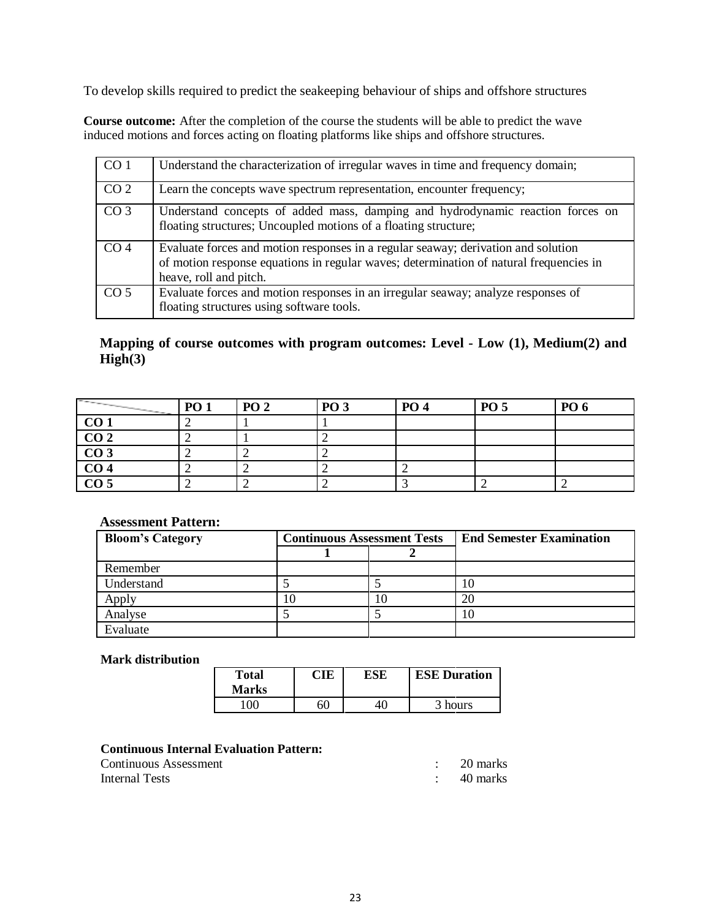To develop skills required to predict the seakeeping behaviour of ships and offshore structures

**Course outcome:** After the completion of the course the students will be able to predict the wave induced motions and forces acting on floating platforms like ships and offshore structures.

| CO <sub>1</sub> | Understand the characterization of irregular waves in time and frequency domain;                                                                                                                      |
|-----------------|-------------------------------------------------------------------------------------------------------------------------------------------------------------------------------------------------------|
| CO <sub>2</sub> | Learn the concepts wave spectrum representation, encounter frequency;                                                                                                                                 |
| CO <sub>3</sub> | Understand concepts of added mass, damping and hydrodynamic reaction forces on<br>floating structures; Uncoupled motions of a floating structure;                                                     |
| CO <sub>4</sub> | Evaluate forces and motion responses in a regular seaway; derivation and solution<br>of motion response equations in regular waves; determination of natural frequencies in<br>heave, roll and pitch. |
| CO <sub>5</sub> | Evaluate forces and motion responses in an irregular seaway; analyze responses of<br>floating structures using software tools.                                                                        |

# **Mapping of course outcomes with program outcomes: Level - Low (1), Medium(2) and High(3)**

| <b>Contract of the Contract of the Contract of the Contract of the Contract of the Contract of the Contract of the Contract of the Contract of the Contract of the Contract of the Contract of The Contract of The Contract of T</b> | <b>PO 1</b> | <b>PO 2</b> | <b>PO 3</b> | <b>PO 4</b> | <b>PO 5</b> | <b>PO 6</b> |
|--------------------------------------------------------------------------------------------------------------------------------------------------------------------------------------------------------------------------------------|-------------|-------------|-------------|-------------|-------------|-------------|
| CO <sub>1</sub>                                                                                                                                                                                                                      |             |             |             |             |             |             |
| $\overline{CO2}$                                                                                                                                                                                                                     |             |             |             |             |             |             |
| $\overline{CO3}$                                                                                                                                                                                                                     |             |             |             |             |             |             |
| CO <sub>4</sub>                                                                                                                                                                                                                      |             |             |             |             |             |             |
| CO <sub>5</sub>                                                                                                                                                                                                                      |             |             |             |             |             |             |

#### **Assessment Pattern:**

| <b>Bloom's Category</b> | <b>Continuous Assessment Tests</b> |  | <b>End Semester Examination</b> |
|-------------------------|------------------------------------|--|---------------------------------|
|                         |                                    |  |                                 |
| Remember                |                                    |  |                                 |
| Understand              |                                    |  |                                 |
|                         |                                    |  | 20                              |
| Analyse                 |                                    |  |                                 |
| Evaluate                |                                    |  |                                 |

#### **Mark distribution**

| <b>Total</b><br><b>Marks</b> | CIE | ESE | <b>ESE Duration</b> |
|------------------------------|-----|-----|---------------------|
| ഥറ                           | 60  |     | 3 hours             |

### **Continuous Internal Evaluation Pattern:**

| Continuous Assessment | 20 marks |
|-----------------------|----------|
| Internal Tests        | 40 marks |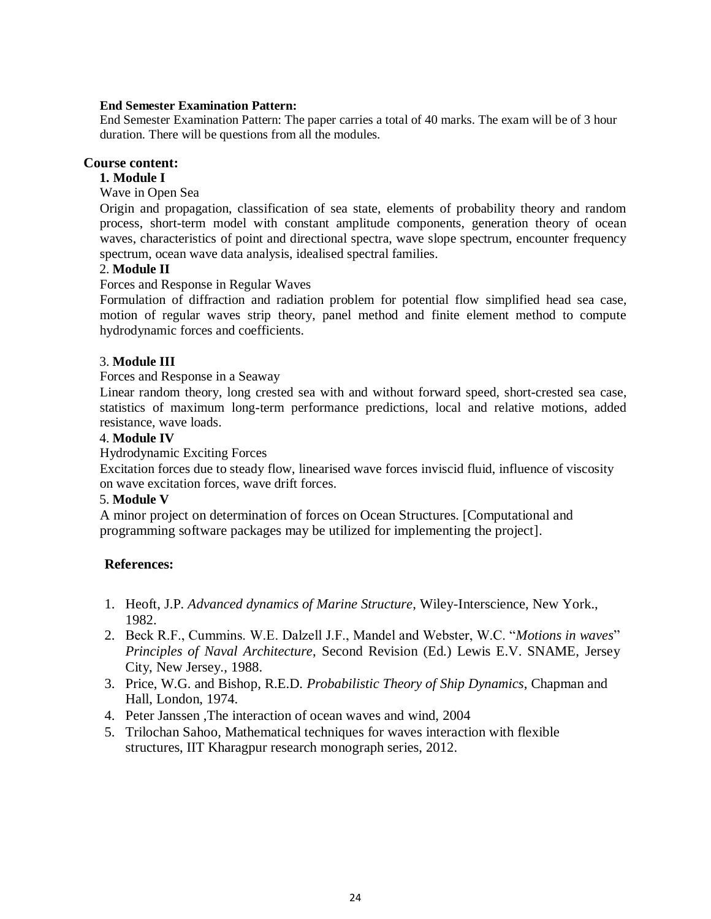#### **End Semester Examination Pattern:**

End Semester Examination Pattern: The paper carries a total of 40 marks. The exam will be of 3 hour duration. There will be questions from all the modules.

### **Course content:**

# **1. Module I**

Wave in Open Sea

Origin and propagation, classification of sea state, elements of probability theory and random process, short-term model with constant amplitude components, generation theory of ocean waves, characteristics of point and directional spectra, wave slope spectrum, encounter frequency spectrum, ocean wave data analysis, idealised spectral families.

### 2. **Module II**

Forces and Response in Regular Waves

Formulation of diffraction and radiation problem for potential flow simplified head sea case, motion of regular waves strip theory, panel method and finite element method to compute hydrodynamic forces and coefficients.

# 3. **Module III**

Forces and Response in a Seaway

Linear random theory, long crested sea with and without forward speed, short-crested sea case, statistics of maximum long-term performance predictions, local and relative motions, added resistance, wave loads.

#### 4. **Module IV**

Hydrodynamic Exciting Forces

Excitation forces due to steady flow, linearised wave forces inviscid fluid, influence of viscosity on wave excitation forces, wave drift forces.

#### 5. **Module V**

A minor project on determination of forces on Ocean Structures. [Computational and programming software packages may be utilized for implementing the project].

# **References:**

- 1. Heoft, J.P*. Advanced dynamics of Marine Structure*, Wiley-Interscience, New York., 1982.
- 2. Beck R.F., Cummins. W.E. Dalzell J.F., Mandel and Webster, W.C. "*Motions in waves*" *Principles of Naval Architecture*, Second Revision (Ed.) Lewis E.V. SNAME, Jersey City, New Jersey., 1988.
- 3. Price, W.G. and Bishop, R.E.D. *Probabilistic Theory of Ship Dynamics*, Chapman and Hall, London, 1974.
- 4. Peter Janssen ,The interaction of ocean waves and wind, 2004
- 5. Trilochan Sahoo, Mathematical techniques for waves interaction with flexible structures, IIT Kharagpur research monograph series, 2012.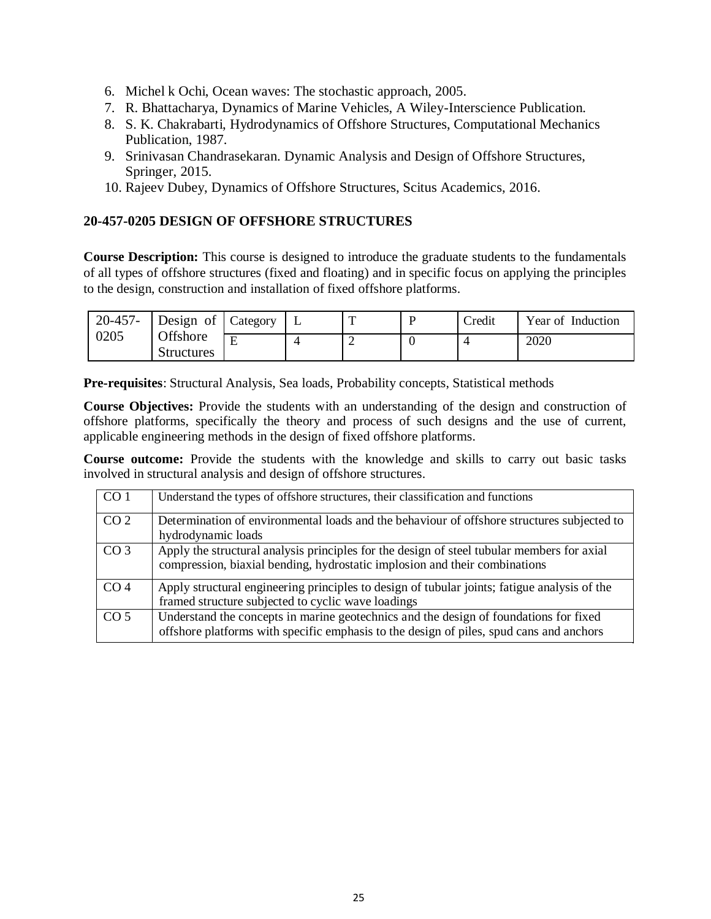- 6. Michel k Ochi, Ocean waves: The stochastic approach, 2005.
- 7. R. Bhattacharya, Dynamics of Marine Vehicles, A Wiley-Interscience Publication.
- 8. S. K. Chakrabarti, Hydrodynamics of Offshore Structures, Computational Mechanics Publication, 1987.
- 9. Srinivasan Chandrasekaran. Dynamic Analysis and Design of Offshore Structures, Springer, 2015.
- 10. Rajeev Dubey, Dynamics of Offshore Structures, Scitus Academics, 2016.

# **20-457-0205 DESIGN OF OFFSHORE STRUCTURES**

**Course Description:** This course is designed to introduce the graduate students to the fundamentals of all types of offshore structures (fixed and floating) and in specific focus on applying the principles to the design, construction and installation of fixed offshore platforms.

| 20-457- | Design of                     | Category | ᡣ | Credit | Year of Induction |
|---------|-------------------------------|----------|---|--------|-------------------|
| 0205    | Offshore<br><b>Structures</b> | E        | ∼ |        | 2020              |

**Pre-requisites**: Structural Analysis, Sea loads, Probability concepts, Statistical methods

**Course Objectives:** Provide the students with an understanding of the design and construction of offshore platforms, specifically the theory and process of such designs and the use of current, applicable engineering methods in the design of fixed offshore platforms.

**Course outcome:** Provide the students with the knowledge and skills to carry out basic tasks involved in structural analysis and design of offshore structures.

| CO <sub>1</sub> | Understand the types of offshore structures, their classification and functions                                                                                                  |
|-----------------|----------------------------------------------------------------------------------------------------------------------------------------------------------------------------------|
| CO <sub>2</sub> | Determination of environmental loads and the behaviour of offshore structures subjected to<br>hydrodynamic loads                                                                 |
| CO <sub>3</sub> | Apply the structural analysis principles for the design of steel tubular members for axial<br>compression, biaxial bending, hydrostatic implosion and their combinations         |
| CO <sub>4</sub> | Apply structural engineering principles to design of tubular joints; fatigue analysis of the<br>framed structure subjected to cyclic wave loadings                               |
| CO <sub>5</sub> | Understand the concepts in marine geotechnics and the design of foundations for fixed<br>offshore platforms with specific emphasis to the design of piles, spud cans and anchors |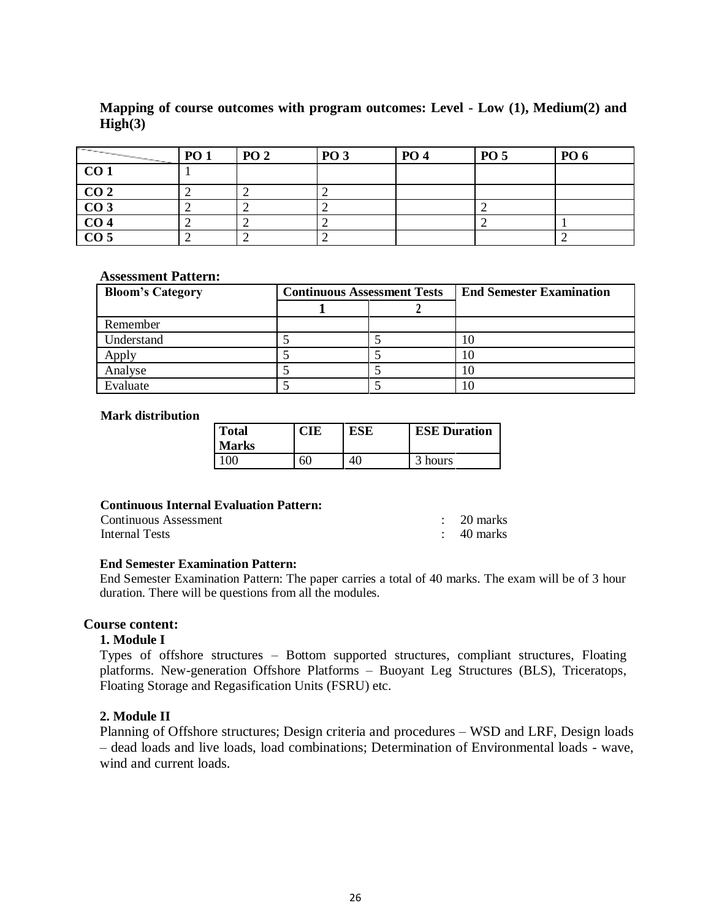# **Mapping of course outcomes with program outcomes: Level - Low (1), Medium(2) and High(3)**

| <b>Contract Contract Contract Contract Contract Contract Contract Contract Contract Contract Contract Contract Contract Contract Contract Contract Contract Contract Contract Contract Contract Contract Contract Contract Contr</b><br><b>Contract Contract Contract</b> | <b>PO 1</b> | <b>PO 2</b> | <b>PO 3</b> | <b>PO</b> 4 | <b>PO 5</b> | <b>PO</b> 6 |
|---------------------------------------------------------------------------------------------------------------------------------------------------------------------------------------------------------------------------------------------------------------------------|-------------|-------------|-------------|-------------|-------------|-------------|
| CO <sub>1</sub>                                                                                                                                                                                                                                                           |             |             |             |             |             |             |
| CO <sub>2</sub>                                                                                                                                                                                                                                                           |             |             |             |             |             |             |
| $\overline{CO3}$                                                                                                                                                                                                                                                          |             |             |             |             |             |             |
| CO <sub>4</sub>                                                                                                                                                                                                                                                           |             |             |             |             |             |             |
| $\overline{CO5}$                                                                                                                                                                                                                                                          |             |             |             |             |             |             |

#### **Assessment Pattern:**

| <b>Bloom's Category</b> | <b>Continuous Assessment Tests</b> |  | <b>End Semester Examination</b> |
|-------------------------|------------------------------------|--|---------------------------------|
|                         |                                    |  |                                 |
| Remember                |                                    |  |                                 |
| Understand              |                                    |  |                                 |
|                         |                                    |  |                                 |
| Analyse                 |                                    |  |                                 |
| Evaluate                |                                    |  |                                 |

#### **Mark distribution**

| Total<br><b>Marks</b> | <b>CIE</b> | <b>ESE</b> | <b>ESE Duration</b> |
|-----------------------|------------|------------|---------------------|
| 100                   | 60         | 40         | 3 hours             |

#### **Continuous Internal Evaluation Pattern:**

| Continuous Assessment | $\therefore$ 20 marks |
|-----------------------|-----------------------|
| Internal Tests        | 40 marks              |

#### **End Semester Examination Pattern:**

End Semester Examination Pattern: The paper carries a total of 40 marks. The exam will be of 3 hour duration. There will be questions from all the modules.

#### **Course content:**

### **1. Module I**

Types of offshore structures – Bottom supported structures, compliant structures, Floating platforms. New-generation Offshore Platforms – Buoyant Leg Structures (BLS), Triceratops, Floating Storage and Regasification Units (FSRU) etc.

### **2. Module II**

Planning of Offshore structures; Design criteria and procedures – WSD and LRF, Design loads – dead loads and live loads, load combinations; Determination of Environmental loads - wave, wind and current loads.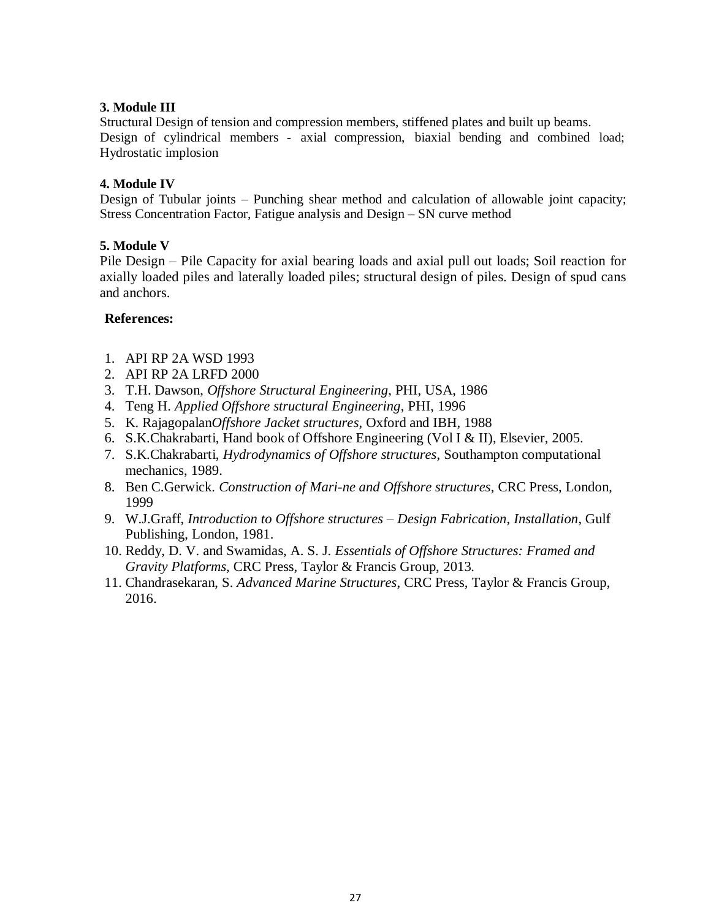# **3. Module III**

Structural Design of tension and compression members, stiffened plates and built up beams. Design of cylindrical members - axial compression, biaxial bending and combined load; Hydrostatic implosion

### **4. Module IV**

Design of Tubular joints – Punching shear method and calculation of allowable joint capacity; Stress Concentration Factor, Fatigue analysis and Design – SN curve method

### **5. Module V**

Pile Design – Pile Capacity for axial bearing loads and axial pull out loads; Soil reaction for axially loaded piles and laterally loaded piles; structural design of piles. Design of spud cans and anchors.

### **References:**

- 1. API RP 2A WSD 1993
- 2. API RP 2A LRFD 2000
- 3. T.H. Dawson, *Offshore Structural Engineering*, PHI, USA, 1986
- 4. Teng H. *Applied Offshore structural Engineering*, PHI, 1996
- 5. K. Rajagopalan*Offshore Jacket structures*, Oxford and IBH, 1988
- 6. S.K.Chakrabarti, Hand book of Offshore Engineering (Vol I & II), Elsevier, 2005.
- 7. S.K.Chakrabarti, *Hydrodynamics of Offshore structures*, Southampton computational mechanics, 1989.
- 8. Ben C.Gerwick. *Construction of Mari-ne and Offshore structures*, CRC Press, London, 1999
- 9. W.J.Graff, *Introduction to Offshore structures – Design Fabrication, Installation*, Gulf Publishing, London, 1981.
- 10. Reddy, D. V. and Swamidas, A. S. J. *Essentials of Offshore Structures: Framed and Gravity Platforms*, CRC Press, Taylor & Francis Group, 2013.
- 11. Chandrasekaran, S. *Advanced Marine Structures*, CRC Press, Taylor & Francis Group, 2016.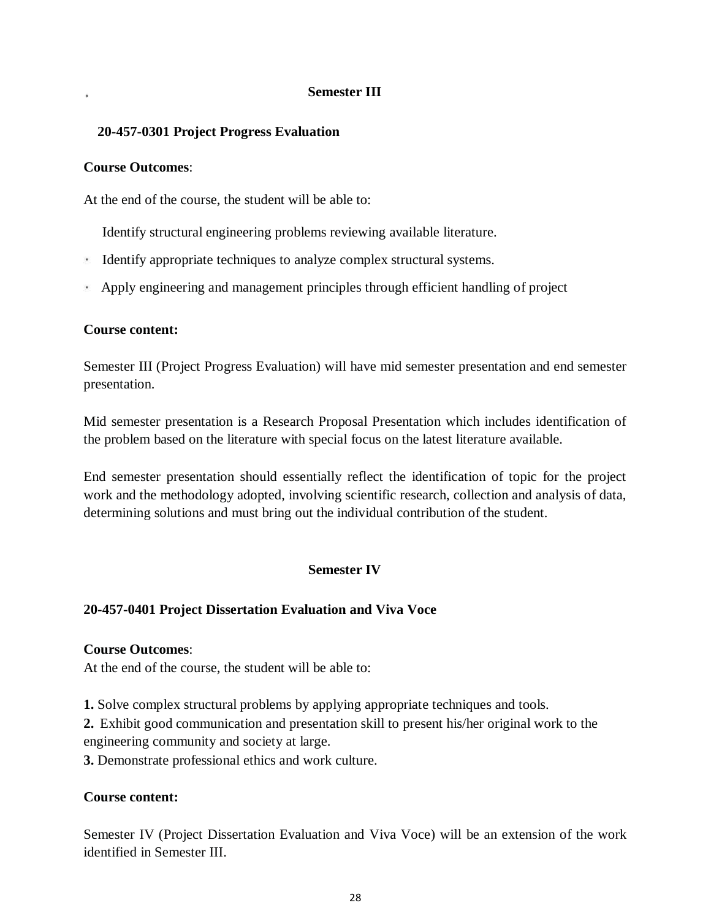# **Semester III**

# **20-457-0301 Project Progress Evaluation**

# **Course Outcomes**:

At the end of the course, the student will be able to:

Identify structural engineering problems reviewing available literature.

- Identify appropriate techniques to analyze complex structural systems.
- Apply engineering and management principles through efficient handling of project

# **Course content:**

Semester III (Project Progress Evaluation) will have mid semester presentation and end semester presentation.

Mid semester presentation is a Research Proposal Presentation which includes identification of the problem based on the literature with special focus on the latest literature available.

End semester presentation should essentially reflect the identification of topic for the project work and the methodology adopted, involving scientific research, collection and analysis of data, determining solutions and must bring out the individual contribution of the student.

# **Semester IV**

# **20-457-0401 Project Dissertation Evaluation and Viva Voce**

# **Course Outcomes**:

At the end of the course, the student will be able to:

**1.** Solve complex structural problems by applying appropriate techniques and tools.

**2.** Exhibit good communication and presentation skill to present his/her original work to the engineering community and society at large.

**3.** Demonstrate professional ethics and work culture.

# **Course content:**

Semester IV (Project Dissertation Evaluation and Viva Voce) will be an extension of the work identified in Semester III.